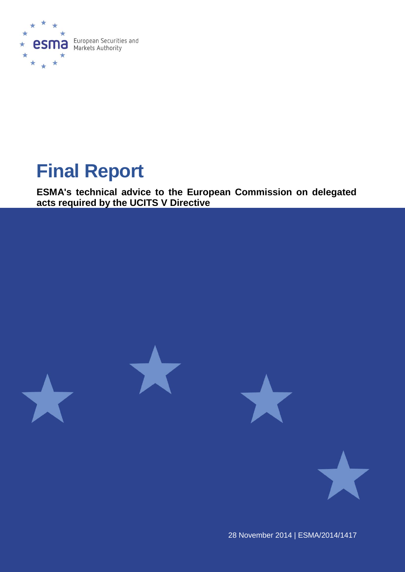

# **Final Report**

**ESMA's technical advice to the European Commission on delegated acts required by the UCITS V Directive**







28 November 2014 | ESMA/2014/1417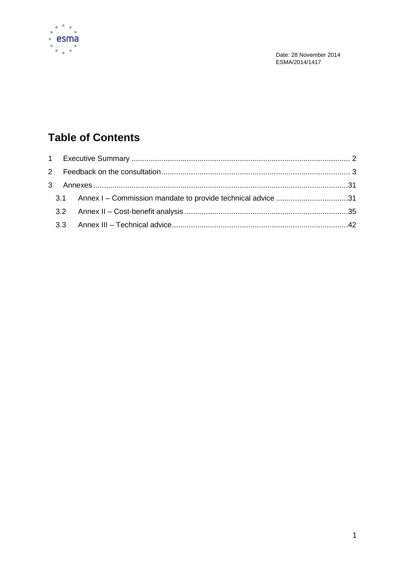

Date: 28 November 2014 ESMA/2014/1417

# **Table of Contents**

|  |  | 3.1 Annex I – Commission mandate to provide technical advice 31 |  |
|--|--|-----------------------------------------------------------------|--|
|  |  |                                                                 |  |
|  |  |                                                                 |  |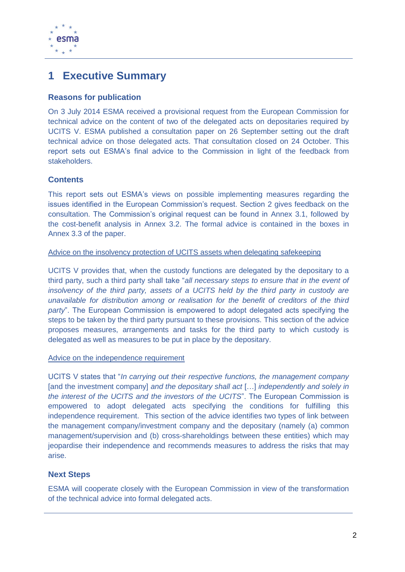

### <span id="page-2-0"></span>**1 Executive Summary**

### **Reasons for publication**

On 3 July 2014 ESMA received a provisional request from the European Commission for technical advice on the content of two of the delegated acts on depositaries required by UCITS V. ESMA published a consultation paper on 26 September setting out the draft technical advice on those delegated acts. That consultation closed on 24 October. This report sets out ESMA's final advice to the Commission in light of the feedback from stakeholders.

### **Contents**

This report sets out ESMA's views on possible implementing measures regarding the issues identified in the European Commission's request. Section 2 gives feedback on the consultation. The Commission's original request can be found in Annex 3.1, followed by the cost-benefit analysis in Annex 3.2. The formal advice is contained in the boxes in Annex 3.3 of the paper.

### Advice on the insolvency protection of UCITS assets when delegating safekeeping

UCITS V provides that, when the custody functions are delegated by the depositary to a third party, such a third party shall take "*all necessary steps to ensure that in the event of insolvency of the third party, assets of a UCITS held by the third party in custody are unavailable for distribution among or realisation for the benefit of creditors of the third party*". The European Commission is empowered to adopt delegated acts specifying the steps to be taken by the third party pursuant to these provisions. This section of the advice proposes measures, arrangements and tasks for the third party to which custody is delegated as well as measures to be put in place by the depositary.

### Advice on the independence requirement

UCITS V states that "*In carrying out their respective functions, the management company*  [and the investment company] *and the depositary shall act* […] *independently and solely in the interest of the UCITS and the investors of the UCITS*". The European Commission is empowered to adopt delegated acts specifying the conditions for fulfilling this independence requirement. This section of the advice identifies two types of link between the management company/investment company and the depositary (namely (a) common management/supervision and (b) cross-shareholdings between these entities) which may jeopardise their independence and recommends measures to address the risks that may arise.

### **Next Steps**

ESMA will cooperate closely with the European Commission in view of the transformation of the technical advice into formal delegated acts.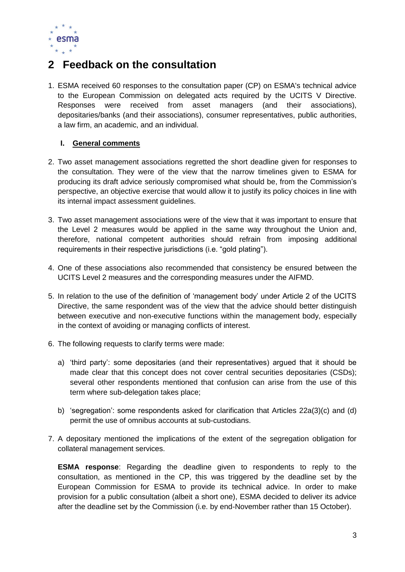

## <span id="page-3-0"></span>**2 Feedback on the consultation**

1. ESMA received 60 responses to the consultation paper (CP) on ESMA's technical advice to the European Commission on delegated acts required by the UCITS V Directive. Responses were received from asset managers (and their associations), depositaries/banks (and their associations), consumer representatives, public authorities, a law firm, an academic, and an individual.

### **I. General comments**

- 2. Two asset management associations regretted the short deadline given for responses to the consultation. They were of the view that the narrow timelines given to ESMA for producing its draft advice seriously compromised what should be, from the Commission's perspective, an objective exercise that would allow it to justify its policy choices in line with its internal impact assessment guidelines.
- 3. Two asset management associations were of the view that it was important to ensure that the Level 2 measures would be applied in the same way throughout the Union and, therefore, national competent authorities should refrain from imposing additional requirements in their respective jurisdictions (i.e. "gold plating").
- 4. One of these associations also recommended that consistency be ensured between the UCITS Level 2 measures and the corresponding measures under the AIFMD.
- 5. In relation to the use of the definition of 'management body' under Article 2 of the UCITS Directive, the same respondent was of the view that the advice should better distinguish between executive and non-executive functions within the management body, especially in the context of avoiding or managing conflicts of interest.
- 6. The following requests to clarify terms were made:
	- a) 'third party': some depositaries (and their representatives) argued that it should be made clear that this concept does not cover central securities depositaries (CSDs); several other respondents mentioned that confusion can arise from the use of this term where sub-delegation takes place;
	- b) 'segregation': some respondents asked for clarification that Articles 22a(3)(c) and (d) permit the use of omnibus accounts at sub-custodians.
- 7. A depositary mentioned the implications of the extent of the segregation obligation for collateral management services.

**ESMA response**: Regarding the deadline given to respondents to reply to the consultation, as mentioned in the CP, this was triggered by the deadline set by the European Commission for ESMA to provide its technical advice. In order to make provision for a public consultation (albeit a short one), ESMA decided to deliver its advice after the deadline set by the Commission (i.e. by end-November rather than 15 October).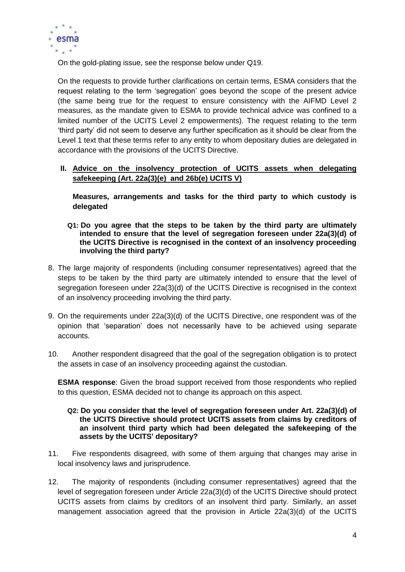

On the gold-plating issue, see the response below under Q19.

On the requests to provide further clarifications on certain terms, ESMA considers that the request relating to the term 'segregation' goes beyond the scope of the present advice (the same being true for the request to ensure consistency with the AIFMD Level 2 measures, as the mandate given to ESMA to provide technical advice was confined to a limited number of the UCITS Level 2 empowerments). The request relating to the term 'third party' did not seem to deserve any further specification as it should be clear from the Level 1 text that these terms refer to any entity to whom depositary duties are delegated in accordance with the provisions of the UCITS Directive.

### **II. Advice on the insolvency protection of UCITS assets when delegating safekeeping (Art. 22a(3)(e) and 26b(e) UCITS V)**

**Measures, arrangements and tasks for the third party to which custody is delegated**

- **Q1: Do you agree that the steps to be taken by the third party are ultimately intended to ensure that the level of segregation foreseen under 22a(3)(d) of the UCITS Directive is recognised in the context of an insolvency proceeding involving the third party?**
- 8. The large majority of respondents (including consumer representatives) agreed that the steps to be taken by the third party are ultimately intended to ensure that the level of segregation foreseen under 22a(3)(d) of the UCITS Directive is recognised in the context of an insolvency proceeding involving the third party.
- 9. On the requirements under 22a(3)(d) of the UCITS Directive, one respondent was of the opinion that 'separation' does not necessarily have to be achieved using separate accounts.
- 10. Another respondent disagreed that the goal of the segregation obligation is to protect the assets in case of an insolvency proceeding against the custodian.

**ESMA response**: Given the broad support received from those respondents who replied to this question, ESMA decided not to change its approach on this aspect.

### **Q2: Do you consider that the level of segregation foreseen under Art. 22a(3)(d) of the UCITS Directive should protect UCITS assets from claims by creditors of an insolvent third party which had been delegated the safekeeping of the assets by the UCITS' depositary?**

- 11. Five respondents disagreed, with some of them arguing that changes may arise in local insolvency laws and jurisprudence.
- 12. The majority of respondents (including consumer representatives) agreed that the level of segregation foreseen under Article 22a(3)(d) of the UCITS Directive should protect UCITS assets from claims by creditors of an insolvent third party. Similarly, an asset management association agreed that the provision in Article 22a(3)(d) of the UCITS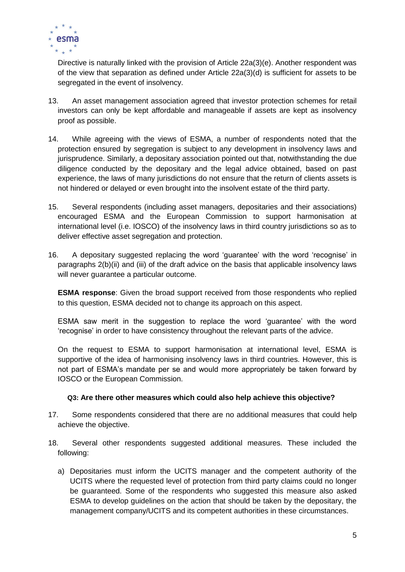

Directive is naturally linked with the provision of Article 22a(3)(e). Another respondent was of the view that separation as defined under Article 22a(3)(d) is sufficient for assets to be segregated in the event of insolvency.

- 13. An asset management association agreed that investor protection schemes for retail investors can only be kept affordable and manageable if assets are kept as insolvency proof as possible.
- 14. While agreeing with the views of ESMA, a number of respondents noted that the protection ensured by segregation is subject to any development in insolvency laws and jurisprudence. Similarly, a depositary association pointed out that, notwithstanding the due diligence conducted by the depositary and the legal advice obtained, based on past experience, the laws of many jurisdictions do not ensure that the return of clients assets is not hindered or delayed or even brought into the insolvent estate of the third party.
- 15. Several respondents (including asset managers, depositaries and their associations) encouraged ESMA and the European Commission to support harmonisation at international level (i.e. IOSCO) of the insolvency laws in third country jurisdictions so as to deliver effective asset segregation and protection.
- 16. A depositary suggested replacing the word 'guarantee' with the word 'recognise' in paragraphs 2(b)(ii) and (iii) of the draft advice on the basis that applicable insolvency laws will never guarantee a particular outcome.

**ESMA response**: Given the broad support received from those respondents who replied to this question, ESMA decided not to change its approach on this aspect.

ESMA saw merit in the suggestion to replace the word 'guarantee' with the word 'recognise' in order to have consistency throughout the relevant parts of the advice.

On the request to ESMA to support harmonisation at international level, ESMA is supportive of the idea of harmonising insolvency laws in third countries. However, this is not part of ESMA's mandate per se and would more appropriately be taken forward by IOSCO or the European Commission.

### **Q3: Are there other measures which could also help achieve this objective?**

- 17. Some respondents considered that there are no additional measures that could help achieve the objective.
- 18. Several other respondents suggested additional measures. These included the following:
	- a) Depositaries must inform the UCITS manager and the competent authority of the UCITS where the requested level of protection from third party claims could no longer be guaranteed. Some of the respondents who suggested this measure also asked ESMA to develop guidelines on the action that should be taken by the depositary, the management company/UCITS and its competent authorities in these circumstances.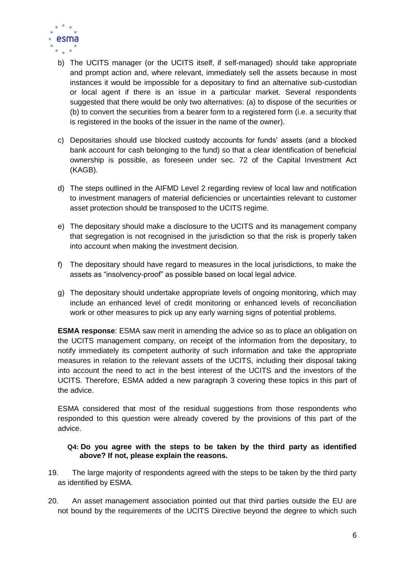

- b) The UCITS manager (or the UCITS itself, if self-managed) should take appropriate and prompt action and, where relevant, immediately sell the assets because in most instances it would be impossible for a depositary to find an alternative sub-custodian or local agent if there is an issue in a particular market. Several respondents suggested that there would be only two alternatives: (a) to dispose of the securities or (b) to convert the securities from a bearer form to a registered form (i.e. a security that is registered in the books of the issuer in the name of the owner).
- c) Depositaries should use blocked custody accounts for funds' assets (and a blocked bank account for cash belonging to the fund) so that a clear identification of beneficial ownership is possible, as foreseen under sec. 72 of the Capital Investment Act (KAGB).
- d) The steps outlined in the AIFMD Level 2 regarding review of local law and notification to investment managers of material deficiencies or uncertainties relevant to customer asset protection should be transposed to the UCITS regime.
- e) The depositary should make a disclosure to the UCITS and its management company that segregation is not recognised in the jurisdiction so that the risk is properly taken into account when making the investment decision.
- f) The depositary should have regard to measures in the local jurisdictions, to make the assets as "insolvency-proof" as possible based on local legal advice.
- g) The depositary should undertake appropriate levels of ongoing monitoring, which may include an enhanced level of credit monitoring or enhanced levels of reconciliation work or other measures to pick up any early warning signs of potential problems.

**ESMA response**: ESMA saw merit in amending the advice so as to place an obligation on the UCITS management company, on receipt of the information from the depositary, to notify immediately its competent authority of such information and take the appropriate measures in relation to the relevant assets of the UCITS, including their disposal taking into account the need to act in the best interest of the UCITS and the investors of the UCITS. Therefore, ESMA added a new paragraph 3 covering these topics in this part of the advice.

ESMA considered that most of the residual suggestions from those respondents who responded to this question were already covered by the provisions of this part of the advice.

### **Q4: Do you agree with the steps to be taken by the third party as identified above? If not, please explain the reasons.**

- 19. The large majority of respondents agreed with the steps to be taken by the third party as identified by ESMA.
- 20. An asset management association pointed out that third parties outside the EU are not bound by the requirements of the UCITS Directive beyond the degree to which such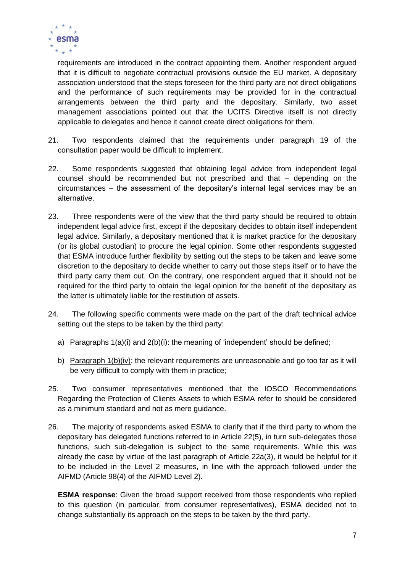

requirements are introduced in the contract appointing them. Another respondent argued that it is difficult to negotiate contractual provisions outside the EU market. A depositary association understood that the steps foreseen for the third party are not direct obligations and the performance of such requirements may be provided for in the contractual arrangements between the third party and the depositary. Similarly, two asset management associations pointed out that the UCITS Directive itself is not directly applicable to delegates and hence it cannot create direct obligations for them.

- 21. Two respondents claimed that the requirements under paragraph 19 of the consultation paper would be difficult to implement.
- 22. Some respondents suggested that obtaining legal advice from independent legal counsel should be recommended but not prescribed and that – depending on the circumstances – the assessment of the depositary's internal legal services may be an alternative.
- 23. Three respondents were of the view that the third party should be required to obtain independent legal advice first, except if the depositary decides to obtain itself independent legal advice. Similarly, a depositary mentioned that it is market practice for the depositary (or its global custodian) to procure the legal opinion. Some other respondents suggested that ESMA introduce further flexibility by setting out the steps to be taken and leave some discretion to the depositary to decide whether to carry out those steps itself or to have the third party carry them out. On the contrary, one respondent argued that it should not be required for the third party to obtain the legal opinion for the benefit of the depositary as the latter is ultimately liable for the restitution of assets.
- 24. The following specific comments were made on the part of the draft technical advice setting out the steps to be taken by the third party:
	- a) Paragraphs 1(a)(i) and 2(b)(i): the meaning of 'independent' should be defined;
	- b) Paragraph 1(b)(iv): the relevant requirements are unreasonable and go too far as it will be very difficult to comply with them in practice;
- 25. Two consumer representatives mentioned that the IOSCO Recommendations Regarding the Protection of Clients Assets to which ESMA refer to should be considered as a minimum standard and not as mere guidance.
- 26. The majority of respondents asked ESMA to clarify that if the third party to whom the depositary has delegated functions referred to in Article 22(5), in turn sub-delegates those functions, such sub-delegation is subject to the same requirements. While this was already the case by virtue of the last paragraph of Article 22a(3), it would be helpful for it to be included in the Level 2 measures, in line with the approach followed under the AIFMD (Article 98(4) of the AIFMD Level 2).

**ESMA response**: Given the broad support received from those respondents who replied to this question (in particular, from consumer representatives), ESMA decided not to change substantially its approach on the steps to be taken by the third party.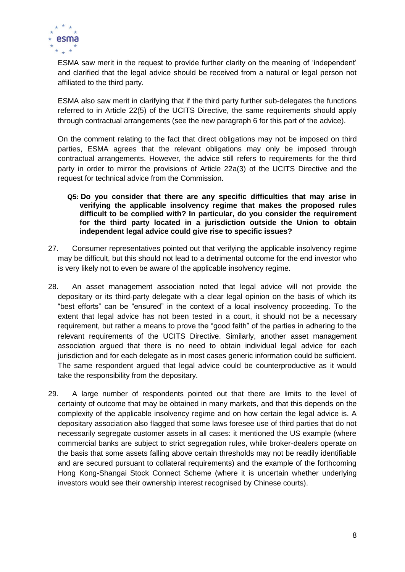

ESMA saw merit in the request to provide further clarity on the meaning of 'independent' and clarified that the legal advice should be received from a natural or legal person not affiliated to the third party.

ESMA also saw merit in clarifying that if the third party further sub-delegates the functions referred to in Article 22(5) of the UCITS Directive, the same requirements should apply through contractual arrangements (see the new paragraph 6 for this part of the advice).

On the comment relating to the fact that direct obligations may not be imposed on third parties, ESMA agrees that the relevant obligations may only be imposed through contractual arrangements. However, the advice still refers to requirements for the third party in order to mirror the provisions of Article 22a(3) of the UCITS Directive and the request for technical advice from the Commission.

- **Q5: Do you consider that there are any specific difficulties that may arise in verifying the applicable insolvency regime that makes the proposed rules difficult to be complied with? In particular, do you consider the requirement for the third party located in a jurisdiction outside the Union to obtain independent legal advice could give rise to specific issues?**
- 27. Consumer representatives pointed out that verifying the applicable insolvency regime may be difficult, but this should not lead to a detrimental outcome for the end investor who is very likely not to even be aware of the applicable insolvency regime.
- 28. An asset management association noted that legal advice will not provide the depositary or its third-party delegate with a clear legal opinion on the basis of which its "best efforts" can be "ensured" in the context of a local insolvency proceeding. To the extent that legal advice has not been tested in a court, it should not be a necessary requirement, but rather a means to prove the "good faith" of the parties in adhering to the relevant requirements of the UCITS Directive. Similarly, another asset management association argued that there is no need to obtain individual legal advice for each jurisdiction and for each delegate as in most cases generic information could be sufficient. The same respondent argued that legal advice could be counterproductive as it would take the responsibility from the depositary.
- 29. A large number of respondents pointed out that there are limits to the level of certainty of outcome that may be obtained in many markets, and that this depends on the complexity of the applicable insolvency regime and on how certain the legal advice is. A depositary association also flagged that some laws foresee use of third parties that do not necessarily segregate customer assets in all cases: it mentioned the US example (where commercial banks are subject to strict segregation rules, while broker-dealers operate on the basis that some assets falling above certain thresholds may not be readily identifiable and are secured pursuant to collateral requirements) and the example of the forthcoming Hong Kong-Shangai Stock Connect Scheme (where it is uncertain whether underlying investors would see their ownership interest recognised by Chinese courts).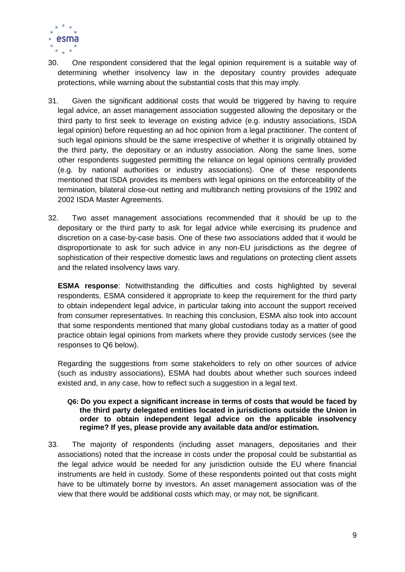

- 30. One respondent considered that the legal opinion requirement is a suitable way of determining whether insolvency law in the depositary country provides adequate protections, while warning about the substantial costs that this may imply.
- 31. Given the significant additional costs that would be triggered by having to require legal advice, an asset management association suggested allowing the depositary or the third party to first seek to leverage on existing advice (e.g. industry associations, ISDA legal opinion) before requesting an ad hoc opinion from a legal practitioner. The content of such legal opinions should be the same irrespective of whether it is originally obtained by the third party, the depositary or an industry association. Along the same lines, some other respondents suggested permitting the reliance on legal opinions centrally provided (e.g. by national authorities or industry associations). One of these respondents mentioned that ISDA provides its members with legal opinions on the enforceability of the termination, bilateral close-out netting and multibranch netting provisions of the 1992 and 2002 ISDA Master Agreements.
- 32. Two asset management associations recommended that it should be up to the depositary or the third party to ask for legal advice while exercising its prudence and discretion on a case-by-case basis. One of these two associations added that it would be disproportionate to ask for such advice in any non-EU jurisdictions as the degree of sophistication of their respective domestic laws and regulations on protecting client assets and the related insolvency laws vary.

**ESMA response**: Notwithstanding the difficulties and costs highlighted by several respondents, ESMA considered it appropriate to keep the requirement for the third party to obtain independent legal advice, in particular taking into account the support received from consumer representatives. In reaching this conclusion, ESMA also took into account that some respondents mentioned that many global custodians today as a matter of good practice obtain legal opinions from markets where they provide custody services (see the responses to Q6 below).

Regarding the suggestions from some stakeholders to rely on other sources of advice (such as industry associations), ESMA had doubts about whether such sources indeed existed and, in any case, how to reflect such a suggestion in a legal text.

### **Q6: Do you expect a significant increase in terms of costs that would be faced by the third party delegated entities located in jurisdictions outside the Union in order to obtain independent legal advice on the applicable insolvency regime? If yes, please provide any available data and/or estimation.**

33. The majority of respondents (including asset managers, depositaries and their associations) noted that the increase in costs under the proposal could be substantial as the legal advice would be needed for any jurisdiction outside the EU where financial instruments are held in custody. Some of these respondents pointed out that costs might have to be ultimately borne by investors. An asset management association was of the view that there would be additional costs which may, or may not, be significant.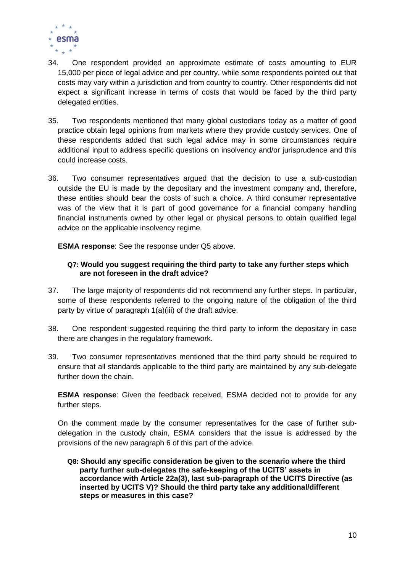

- 34. One respondent provided an approximate estimate of costs amounting to EUR 15,000 per piece of legal advice and per country, while some respondents pointed out that costs may vary within a jurisdiction and from country to country. Other respondents did not expect a significant increase in terms of costs that would be faced by the third party delegated entities.
- 35. Two respondents mentioned that many global custodians today as a matter of good practice obtain legal opinions from markets where they provide custody services. One of these respondents added that such legal advice may in some circumstances require additional input to address specific questions on insolvency and/or jurisprudence and this could increase costs.
- 36. Two consumer representatives argued that the decision to use a sub-custodian outside the EU is made by the depositary and the investment company and, therefore, these entities should bear the costs of such a choice. A third consumer representative was of the view that it is part of good governance for a financial company handling financial instruments owned by other legal or physical persons to obtain qualified legal advice on the applicable insolvency regime.

**ESMA response**: See the response under Q5 above.

### **Q7: Would you suggest requiring the third party to take any further steps which are not foreseen in the draft advice?**

- 37. The large majority of respondents did not recommend any further steps. In particular, some of these respondents referred to the ongoing nature of the obligation of the third party by virtue of paragraph 1(a)(iii) of the draft advice.
- 38. One respondent suggested requiring the third party to inform the depositary in case there are changes in the regulatory framework.
- 39. Two consumer representatives mentioned that the third party should be required to ensure that all standards applicable to the third party are maintained by any sub-delegate further down the chain.

**ESMA response**: Given the feedback received, ESMA decided not to provide for any further steps.

On the comment made by the consumer representatives for the case of further subdelegation in the custody chain, ESMA considers that the issue is addressed by the provisions of the new paragraph 6 of this part of the advice.

**Q8: Should any specific consideration be given to the scenario where the third party further sub-delegates the safe-keeping of the UCITS' assets in accordance with Article 22a(3), last sub-paragraph of the UCITS Directive (as inserted by UCITS V)? Should the third party take any additional/different steps or measures in this case?**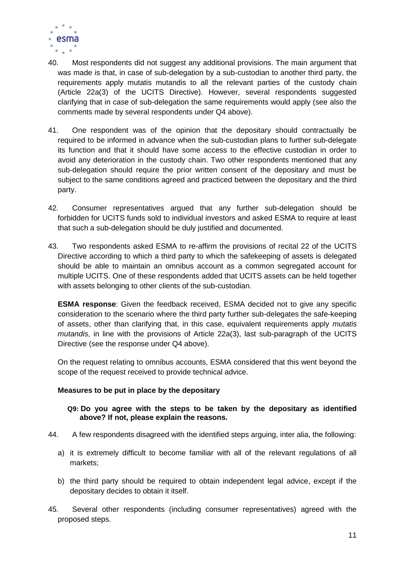

- 40. Most respondents did not suggest any additional provisions. The main argument that was made is that, in case of sub-delegation by a sub-custodian to another third party, the requirements apply mutatis mutandis to all the relevant parties of the custody chain (Article 22a(3) of the UCITS Directive). However, several respondents suggested clarifying that in case of sub-delegation the same requirements would apply (see also the comments made by several respondents under Q4 above).
- 41. One respondent was of the opinion that the depositary should contractually be required to be informed in advance when the sub-custodian plans to further sub-delegate its function and that it should have some access to the effective custodian in order to avoid any deterioration in the custody chain. Two other respondents mentioned that any sub-delegation should require the prior written consent of the depositary and must be subject to the same conditions agreed and practiced between the depositary and the third party.
- 42. Consumer representatives argued that any further sub-delegation should be forbidden for UCITS funds sold to individual investors and asked ESMA to require at least that such a sub-delegation should be duly justified and documented.
- 43. Two respondents asked ESMA to re-affirm the provisions of recital 22 of the UCITS Directive according to which a third party to which the safekeeping of assets is delegated should be able to maintain an omnibus account as a common segregated account for multiple UCITS. One of these respondents added that UCITS assets can be held together with assets belonging to other clients of the sub-custodian.

**ESMA response**: Given the feedback received, ESMA decided not to give any specific consideration to the scenario where the third party further sub-delegates the safe-keeping of assets, other than clarifying that, in this case, equivalent requirements apply *mutatis mutandis*, in line with the provisions of Article 22a(3), last sub-paragraph of the UCITS Directive (see the response under Q4 above).

On the request relating to omnibus accounts, ESMA considered that this went beyond the scope of the request received to provide technical advice.

### **Measures to be put in place by the depositary**

### **Q9: Do you agree with the steps to be taken by the depositary as identified above? If not, please explain the reasons.**

- 44. A few respondents disagreed with the identified steps arguing, inter alia, the following:
	- a) it is extremely difficult to become familiar with all of the relevant regulations of all markets;
	- b) the third party should be required to obtain independent legal advice, except if the depositary decides to obtain it itself.
- 45. Several other respondents (including consumer representatives) agreed with the proposed steps.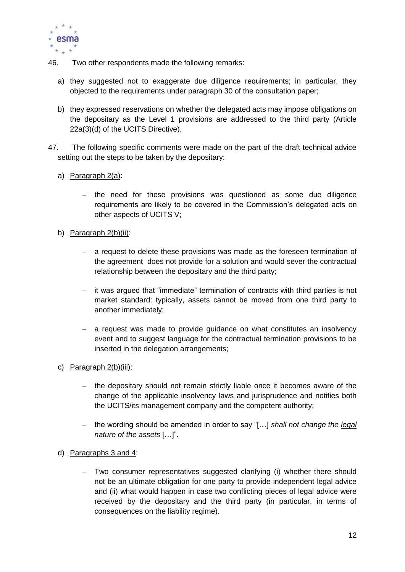

- 46. Two other respondents made the following remarks:
	- a) they suggested not to exaggerate due diligence requirements; in particular, they objected to the requirements under paragraph 30 of the consultation paper;
	- b) they expressed reservations on whether the delegated acts may impose obligations on the depositary as the Level 1 provisions are addressed to the third party (Article 22a(3)(d) of the UCITS Directive).
- 47. The following specific comments were made on the part of the draft technical advice setting out the steps to be taken by the depositary:
	- a) Paragraph 2(a):
		- $-$  the need for these provisions was questioned as some due diligence requirements are likely to be covered in the Commission's delegated acts on other aspects of UCITS V;
	- b) Paragraph 2(b)(ii):
		- a request to delete these provisions was made as the foreseen termination of the agreement does not provide for a solution and would sever the contractual relationship between the depositary and the third party;
		- it was argued that "immediate" termination of contracts with third parties is not market standard: typically, assets cannot be moved from one third party to another immediately;
		- a request was made to provide guidance on what constitutes an insolvency event and to suggest language for the contractual termination provisions to be inserted in the delegation arrangements;
	- c) Paragraph 2(b)(iii):
		- $-$  the depositary should not remain strictly liable once it becomes aware of the change of the applicable insolvency laws and jurisprudence and notifies both the UCITS/its management company and the competent authority;
		- the wording should be amended in order to say "[…] *shall not change the legal nature of the assets* […]".
	- d) Paragraphs 3 and 4:
		- Two consumer representatives suggested clarifying (i) whether there should not be an ultimate obligation for one party to provide independent legal advice and (ii) what would happen in case two conflicting pieces of legal advice were received by the depositary and the third party (in particular, in terms of consequences on the liability regime).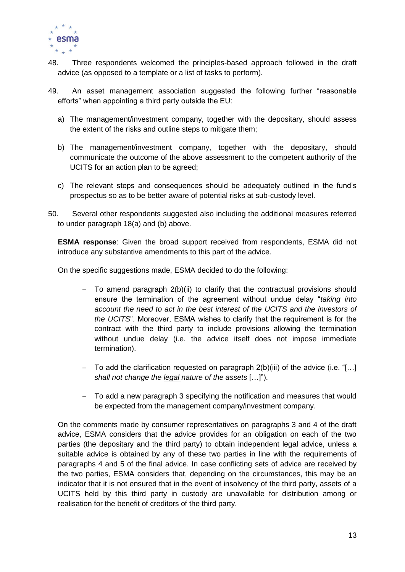

- 48. Three respondents welcomed the principles-based approach followed in the draft advice (as opposed to a template or a list of tasks to perform).
- 49. An asset management association suggested the following further "reasonable efforts" when appointing a third party outside the EU:
	- a) The management/investment company, together with the depositary, should assess the extent of the risks and outline steps to mitigate them;
	- b) The management/investment company, together with the depositary, should communicate the outcome of the above assessment to the competent authority of the UCITS for an action plan to be agreed;
	- c) The relevant steps and consequences should be adequately outlined in the fund's prospectus so as to be better aware of potential risks at sub-custody level.
- 50. Several other respondents suggested also including the additional measures referred to under paragraph 18(a) and (b) above.

**ESMA response**: Given the broad support received from respondents, ESMA did not introduce any substantive amendments to this part of the advice.

On the specific suggestions made, ESMA decided to do the following:

- $-$  To amend paragraph 2(b)(ii) to clarify that the contractual provisions should ensure the termination of the agreement without undue delay "*taking into account the need to act in the best interest of the UCITS and the investors of the UCITS*". Moreover, ESMA wishes to clarify that the requirement is for the contract with the third party to include provisions allowing the termination without undue delay (i.e. the advice itself does not impose immediate termination).
- $-$  To add the clarification requested on paragraph 2(b)(iii) of the advice (i.e. "[...] *shall not change the legal nature of the assets* […]").
- To add a new paragraph 3 specifying the notification and measures that would be expected from the management company/investment company.

On the comments made by consumer representatives on paragraphs 3 and 4 of the draft advice, ESMA considers that the advice provides for an obligation on each of the two parties (the depositary and the third party) to obtain independent legal advice, unless a suitable advice is obtained by any of these two parties in line with the requirements of paragraphs 4 and 5 of the final advice. In case conflicting sets of advice are received by the two parties, ESMA considers that, depending on the circumstances, this may be an indicator that it is not ensured that in the event of insolvency of the third party, assets of a UCITS held by this third party in custody are unavailable for distribution among or realisation for the benefit of creditors of the third party.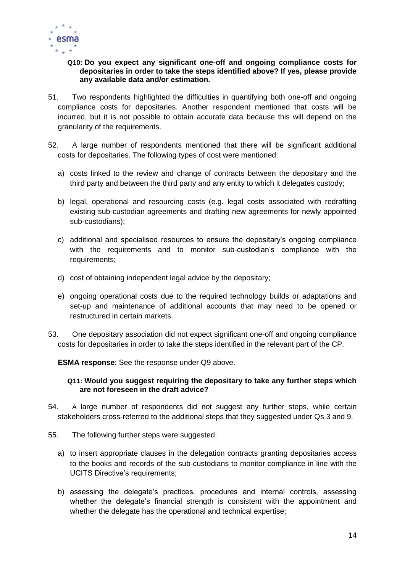

### **Q10: Do you expect any significant one-off and ongoing compliance costs for depositaries in order to take the steps identified above? If yes, please provide any available data and/or estimation.**

- 51. Two respondents highlighted the difficulties in quantifying both one-off and ongoing compliance costs for depositaries. Another respondent mentioned that costs will be incurred, but it is not possible to obtain accurate data because this will depend on the granularity of the requirements.
- 52. A large number of respondents mentioned that there will be significant additional costs for depositaries. The following types of cost were mentioned:
	- a) costs linked to the review and change of contracts between the depositary and the third party and between the third party and any entity to which it delegates custody;
	- b) legal, operational and resourcing costs (e.g. legal costs associated with redrafting existing sub-custodian agreements and drafting new agreements for newly appointed sub-custodians);
	- c) additional and specialised resources to ensure the depositary's ongoing compliance with the requirements and to monitor sub-custodian's compliance with the requirements;
	- d) cost of obtaining independent legal advice by the depositary;
	- e) ongoing operational costs due to the required technology builds or adaptations and set-up and maintenance of additional accounts that may need to be opened or restructured in certain markets.
- 53. One depositary association did not expect significant one-off and ongoing compliance costs for depositaries in order to take the steps identified in the relevant part of the CP.

**ESMA response**: See the response under Q9 above.

#### **Q11: Would you suggest requiring the depositary to take any further steps which are not foreseen in the draft advice?**

- 54. A large number of respondents did not suggest any further steps, while certain stakeholders cross-referred to the additional steps that they suggested under Qs 3 and 9.
- 55. The following further steps were suggested:
	- a) to insert appropriate clauses in the delegation contracts granting depositaries access to the books and records of the sub-custodians to monitor compliance in line with the UCITS Directive's requirements;
	- b) assessing the delegate's practices, procedures and internal controls, assessing whether the delegate's financial strength is consistent with the appointment and whether the delegate has the operational and technical expertise;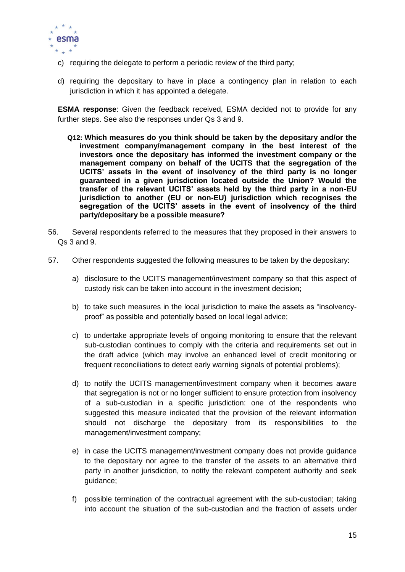

- c) requiring the delegate to perform a periodic review of the third party;
- d) requiring the depositary to have in place a contingency plan in relation to each jurisdiction in which it has appointed a delegate.

**ESMA response**: Given the feedback received, ESMA decided not to provide for any further steps. See also the responses under Qs 3 and 9.

- **Q12: Which measures do you think should be taken by the depositary and/or the investment company/management company in the best interest of the investors once the depositary has informed the investment company or the management company on behalf of the UCITS that the segregation of the UCITS' assets in the event of insolvency of the third party is no longer guaranteed in a given jurisdiction located outside the Union? Would the transfer of the relevant UCITS' assets held by the third party in a non-EU jurisdiction to another (EU or non-EU) jurisdiction which recognises the segregation of the UCITS' assets in the event of insolvency of the third party/depositary be a possible measure?**
- 56. Several respondents referred to the measures that they proposed in their answers to Qs 3 and 9.
- 57. Other respondents suggested the following measures to be taken by the depositary:
	- a) disclosure to the UCITS management/investment company so that this aspect of custody risk can be taken into account in the investment decision;
	- b) to take such measures in the local jurisdiction to make the assets as "insolvencyproof" as possible and potentially based on local legal advice;
	- c) to undertake appropriate levels of ongoing monitoring to ensure that the relevant sub-custodian continues to comply with the criteria and requirements set out in the draft advice (which may involve an enhanced level of credit monitoring or frequent reconciliations to detect early warning signals of potential problems);
	- d) to notify the UCITS management/investment company when it becomes aware that segregation is not or no longer sufficient to ensure protection from insolvency of a sub-custodian in a specific jurisdiction: one of the respondents who suggested this measure indicated that the provision of the relevant information should not discharge the depositary from its responsibilities to the management/investment company;
	- e) in case the UCITS management/investment company does not provide guidance to the depositary nor agree to the transfer of the assets to an alternative third party in another jurisdiction, to notify the relevant competent authority and seek guidance;
	- f) possible termination of the contractual agreement with the sub-custodian; taking into account the situation of the sub-custodian and the fraction of assets under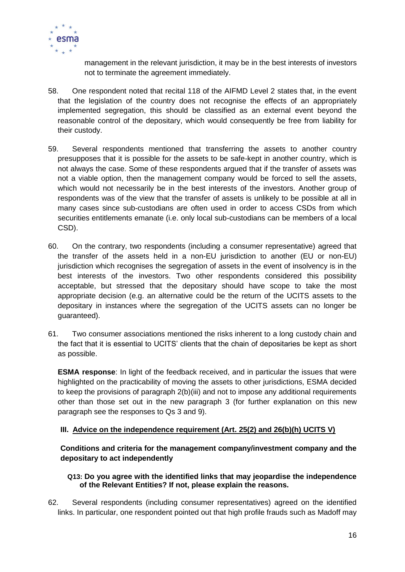

management in the relevant jurisdiction, it may be in the best interests of investors not to terminate the agreement immediately.

- 58. One respondent noted that recital 118 of the AIFMD Level 2 states that, in the event that the legislation of the country does not recognise the effects of an appropriately implemented segregation, this should be classified as an external event beyond the reasonable control of the depositary, which would consequently be free from liability for their custody.
- 59. Several respondents mentioned that transferring the assets to another country presupposes that it is possible for the assets to be safe-kept in another country, which is not always the case. Some of these respondents argued that if the transfer of assets was not a viable option, then the management company would be forced to sell the assets, which would not necessarily be in the best interests of the investors. Another group of respondents was of the view that the transfer of assets is unlikely to be possible at all in many cases since sub-custodians are often used in order to access CSDs from which securities entitlements emanate (i.e. only local sub-custodians can be members of a local CSD).
- 60. On the contrary, two respondents (including a consumer representative) agreed that the transfer of the assets held in a non-EU jurisdiction to another (EU or non-EU) jurisdiction which recognises the segregation of assets in the event of insolvency is in the best interests of the investors. Two other respondents considered this possibility acceptable, but stressed that the depositary should have scope to take the most appropriate decision (e.g. an alternative could be the return of the UCITS assets to the depositary in instances where the segregation of the UCITS assets can no longer be guaranteed).
- 61. Two consumer associations mentioned the risks inherent to a long custody chain and the fact that it is essential to UCITS' clients that the chain of depositaries be kept as short as possible.

**ESMA response**: In light of the feedback received, and in particular the issues that were highlighted on the practicability of moving the assets to other jurisdictions, ESMA decided to keep the provisions of paragraph 2(b)(iii) and not to impose any additional requirements other than those set out in the new paragraph 3 (for further explanation on this new paragraph see the responses to Qs 3 and 9).

### **III. Advice on the independence requirement (Art. 25(2) and 26(b)(h) UCITS V)**

**Conditions and criteria for the management company/investment company and the depositary to act independently**

### **Q13: Do you agree with the identified links that may jeopardise the independence of the Relevant Entities? If not, please explain the reasons.**

62. Several respondents (including consumer representatives) agreed on the identified links. In particular, one respondent pointed out that high profile frauds such as Madoff may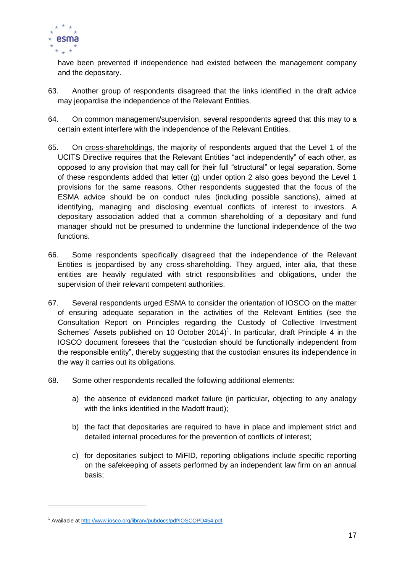

have been prevented if independence had existed between the management company and the depositary.

- 63. Another group of respondents disagreed that the links identified in the draft advice may jeopardise the independence of the Relevant Entities.
- 64. On common management/supervision, several respondents agreed that this may to a certain extent interfere with the independence of the Relevant Entities.
- 65. On cross-shareholdings, the majority of respondents argued that the Level 1 of the UCITS Directive requires that the Relevant Entities "act independently" of each other, as opposed to any provision that may call for their full "structural" or legal separation. Some of these respondents added that letter (g) under option 2 also goes beyond the Level 1 provisions for the same reasons. Other respondents suggested that the focus of the ESMA advice should be on conduct rules (including possible sanctions), aimed at identifying, managing and disclosing eventual conflicts of interest to investors. A depositary association added that a common shareholding of a depositary and fund manager should not be presumed to undermine the functional independence of the two functions.
- 66. Some respondents specifically disagreed that the independence of the Relevant Entities is jeopardised by any cross-shareholding. They argued, inter alia, that these entities are heavily regulated with strict responsibilities and obligations, under the supervision of their relevant competent authorities.
- 67. Several respondents urged ESMA to consider the orientation of IOSCO on the matter of ensuring adequate separation in the activities of the Relevant Entities (see the Consultation Report on Principles regarding the Custody of Collective Investment Schemes' Assets published on 10 October 2014)<sup>1</sup>. In particular, draft Principle 4 in the IOSCO document foresees that the "custodian should be functionally independent from the responsible entity", thereby suggesting that the custodian ensures its independence in the way it carries out its obligations.
- 68. Some other respondents recalled the following additional elements:
	- a) the absence of evidenced market failure (in particular, objecting to any analogy with the links identified in the Madoff fraud);
	- b) the fact that depositaries are required to have in place and implement strict and detailed internal procedures for the prevention of conflicts of interest;
	- c) for depositaries subject to MiFID, reporting obligations include specific reporting on the safekeeping of assets performed by an independent law firm on an annual basis;

-

<sup>1</sup> Available a[t http://www.iosco.org/library/pubdocs/pdf/IOSCOPD454.pdf.](http://www.iosco.org/library/pubdocs/pdf/IOSCOPD454.pdf)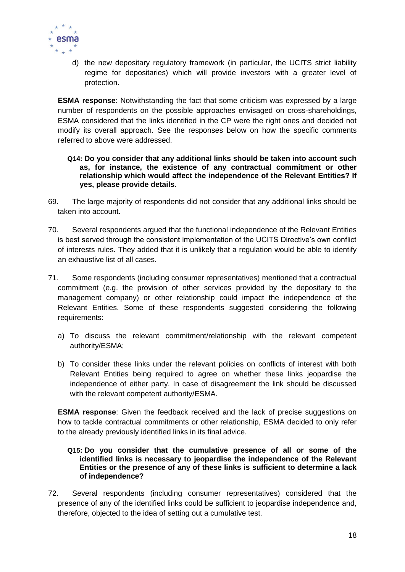

d) the new depositary regulatory framework (in particular, the UCITS strict liability regime for depositaries) which will provide investors with a greater level of protection.

**ESMA response**: Notwithstanding the fact that some criticism was expressed by a large number of respondents on the possible approaches envisaged on cross-shareholdings, ESMA considered that the links identified in the CP were the right ones and decided not modify its overall approach. See the responses below on how the specific comments referred to above were addressed.

- **Q14: Do you consider that any additional links should be taken into account such as, for instance, the existence of any contractual commitment or other relationship which would affect the independence of the Relevant Entities? If yes, please provide details.**
- 69. The large majority of respondents did not consider that any additional links should be taken into account.
- 70. Several respondents argued that the functional independence of the Relevant Entities is best served through the consistent implementation of the UCITS Directive's own conflict of interests rules. They added that it is unlikely that a regulation would be able to identify an exhaustive list of all cases.
- 71. Some respondents (including consumer representatives) mentioned that a contractual commitment (e.g. the provision of other services provided by the depositary to the management company) or other relationship could impact the independence of the Relevant Entities. Some of these respondents suggested considering the following requirements:
	- a) To discuss the relevant commitment/relationship with the relevant competent authority/ESMA;
	- b) To consider these links under the relevant policies on conflicts of interest with both Relevant Entities being required to agree on whether these links jeopardise the independence of either party. In case of disagreement the link should be discussed with the relevant competent authority/ESMA.

**ESMA response**: Given the feedback received and the lack of precise suggestions on how to tackle contractual commitments or other relationship, ESMA decided to only refer to the already previously identified links in its final advice.

### **Q15: Do you consider that the cumulative presence of all or some of the identified links is necessary to jeopardise the independence of the Relevant Entities or the presence of any of these links is sufficient to determine a lack of independence?**

72. Several respondents (including consumer representatives) considered that the presence of any of the identified links could be sufficient to jeopardise independence and, therefore, objected to the idea of setting out a cumulative test.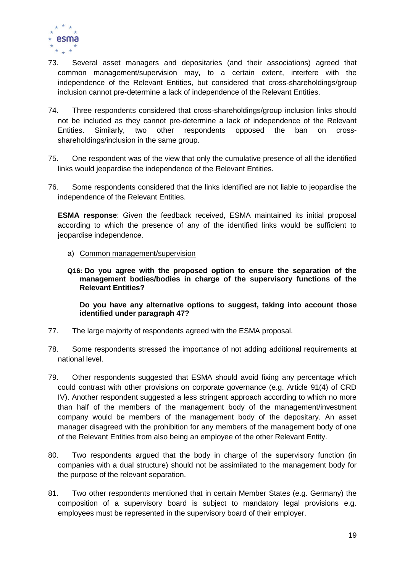

- 73. Several asset managers and depositaries (and their associations) agreed that common management/supervision may, to a certain extent, interfere with the independence of the Relevant Entities, but considered that cross-shareholdings/group inclusion cannot pre-determine a lack of independence of the Relevant Entities.
- 74. Three respondents considered that cross-shareholdings/group inclusion links should not be included as they cannot pre-determine a lack of independence of the Relevant Entities. Similarly, two other respondents opposed the ban on crossshareholdings/inclusion in the same group.
- 75. One respondent was of the view that only the cumulative presence of all the identified links would jeopardise the independence of the Relevant Entities.
- 76. Some respondents considered that the links identified are not liable to jeopardise the independence of the Relevant Entities.

**ESMA response**: Given the feedback received, ESMA maintained its initial proposal according to which the presence of any of the identified links would be sufficient to jeopardise independence.

- a) Common management/supervision
- **Q16: Do you agree with the proposed option to ensure the separation of the management bodies/bodies in charge of the supervisory functions of the Relevant Entities?**

**Do you have any alternative options to suggest, taking into account those identified under paragraph 47?**

- 77. The large majority of respondents agreed with the ESMA proposal.
- 78. Some respondents stressed the importance of not adding additional requirements at national level.
- 79. Other respondents suggested that ESMA should avoid fixing any percentage which could contrast with other provisions on corporate governance (e.g. Article 91(4) of CRD IV). Another respondent suggested a less stringent approach according to which no more than half of the members of the management body of the management/investment company would be members of the management body of the depositary. An asset manager disagreed with the prohibition for any members of the management body of one of the Relevant Entities from also being an employee of the other Relevant Entity.
- 80. Two respondents argued that the body in charge of the supervisory function (in companies with a dual structure) should not be assimilated to the management body for the purpose of the relevant separation.
- 81. Two other respondents mentioned that in certain Member States (e.g. Germany) the composition of a supervisory board is subject to mandatory legal provisions e.g. employees must be represented in the supervisory board of their employer.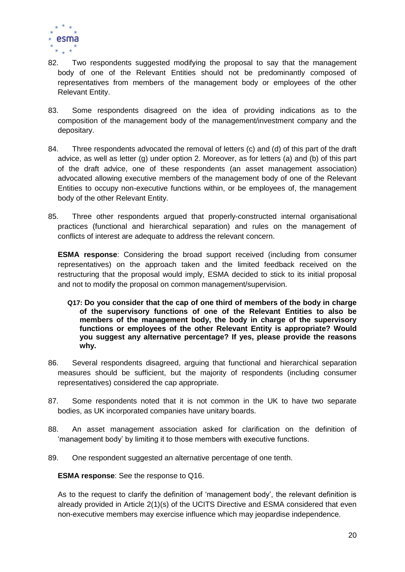

- 82. Two respondents suggested modifying the proposal to say that the management body of one of the Relevant Entities should not be predominantly composed of representatives from members of the management body or employees of the other Relevant Entity.
- 83. Some respondents disagreed on the idea of providing indications as to the composition of the management body of the management/investment company and the depositary.
- 84. Three respondents advocated the removal of letters (c) and (d) of this part of the draft advice, as well as letter (g) under option 2. Moreover, as for letters (a) and (b) of this part of the draft advice, one of these respondents (an asset management association) advocated allowing executive members of the management body of one of the Relevant Entities to occupy non-executive functions within, or be employees of, the management body of the other Relevant Entity.
- 85. Three other respondents argued that properly-constructed internal organisational practices (functional and hierarchical separation) and rules on the management of conflicts of interest are adequate to address the relevant concern.

**ESMA response**: Considering the broad support received (including from consumer representatives) on the approach taken and the limited feedback received on the restructuring that the proposal would imply, ESMA decided to stick to its initial proposal and not to modify the proposal on common management/supervision.

- **Q17: Do you consider that the cap of one third of members of the body in charge of the supervisory functions of one of the Relevant Entities to also be members of the management body, the body in charge of the supervisory functions or employees of the other Relevant Entity is appropriate? Would you suggest any alternative percentage? If yes, please provide the reasons why.**
- 86. Several respondents disagreed, arguing that functional and hierarchical separation measures should be sufficient, but the majority of respondents (including consumer representatives) considered the cap appropriate.
- 87. Some respondents noted that it is not common in the UK to have two separate bodies, as UK incorporated companies have unitary boards.
- 88. An asset management association asked for clarification on the definition of 'management body' by limiting it to those members with executive functions.
- 89. One respondent suggested an alternative percentage of one tenth.

**ESMA response**: See the response to Q16.

As to the request to clarify the definition of 'management body', the relevant definition is already provided in Article 2(1)(s) of the UCITS Directive and ESMA considered that even non-executive members may exercise influence which may jeopardise independence.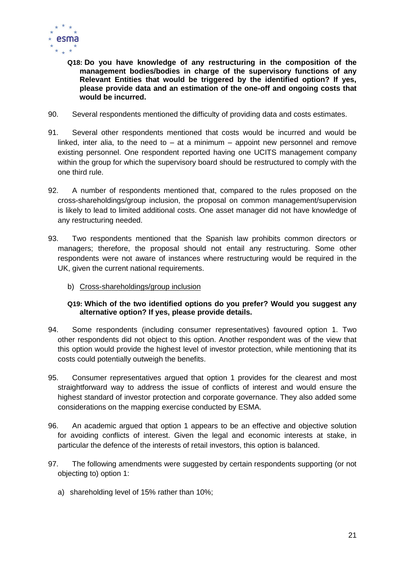

- **Q18: Do you have knowledge of any restructuring in the composition of the management bodies/bodies in charge of the supervisory functions of any Relevant Entities that would be triggered by the identified option? If yes, please provide data and an estimation of the one-off and ongoing costs that would be incurred.**
- 90. Several respondents mentioned the difficulty of providing data and costs estimates.
- 91. Several other respondents mentioned that costs would be incurred and would be linked, inter alia, to the need to  $-$  at a minimum  $-$  appoint new personnel and remove existing personnel. One respondent reported having one UCITS management company within the group for which the supervisory board should be restructured to comply with the one third rule.
- 92. A number of respondents mentioned that, compared to the rules proposed on the cross-shareholdings/group inclusion, the proposal on common management/supervision is likely to lead to limited additional costs. One asset manager did not have knowledge of any restructuring needed.
- 93. Two respondents mentioned that the Spanish law prohibits common directors or managers; therefore, the proposal should not entail any restructuring. Some other respondents were not aware of instances where restructuring would be required in the UK, given the current national requirements.
	- b) Cross-shareholdings/group inclusion

### **Q19: Which of the two identified options do you prefer? Would you suggest any alternative option? If yes, please provide details.**

- 94. Some respondents (including consumer representatives) favoured option 1. Two other respondents did not object to this option. Another respondent was of the view that this option would provide the highest level of investor protection, while mentioning that its costs could potentially outweigh the benefits.
- 95. Consumer representatives argued that option 1 provides for the clearest and most straightforward way to address the issue of conflicts of interest and would ensure the highest standard of investor protection and corporate governance. They also added some considerations on the mapping exercise conducted by ESMA.
- 96. An academic argued that option 1 appears to be an effective and objective solution for avoiding conflicts of interest. Given the legal and economic interests at stake, in particular the defence of the interests of retail investors, this option is balanced.
- 97. The following amendments were suggested by certain respondents supporting (or not objecting to) option 1:
	- a) shareholding level of 15% rather than 10%;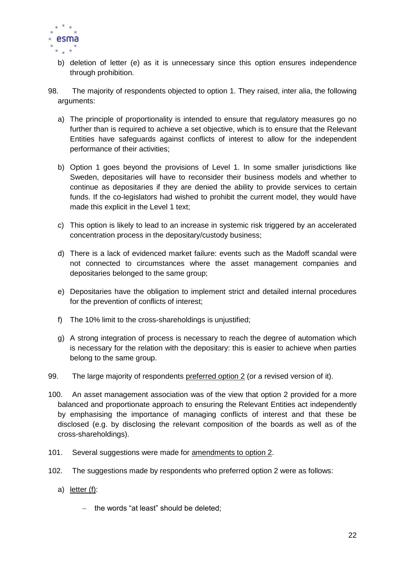

- b) deletion of letter (e) as it is unnecessary since this option ensures independence through prohibition.
- 98. The majority of respondents objected to option 1. They raised, inter alia, the following arguments:
	- a) The principle of proportionality is intended to ensure that regulatory measures go no further than is required to achieve a set objective, which is to ensure that the Relevant Entities have safeguards against conflicts of interest to allow for the independent performance of their activities;
	- b) Option 1 goes beyond the provisions of Level 1. In some smaller jurisdictions like Sweden, depositaries will have to reconsider their business models and whether to continue as depositaries if they are denied the ability to provide services to certain funds. If the co-legislators had wished to prohibit the current model, they would have made this explicit in the Level 1 text;
	- c) This option is likely to lead to an increase in systemic risk triggered by an accelerated concentration process in the depositary/custody business;
	- d) There is a lack of evidenced market failure: events such as the Madoff scandal were not connected to circumstances where the asset management companies and depositaries belonged to the same group;
	- e) Depositaries have the obligation to implement strict and detailed internal procedures for the prevention of conflicts of interest;
	- f) The 10% limit to the cross-shareholdings is unjustified;
	- g) A strong integration of process is necessary to reach the degree of automation which is necessary for the relation with the depositary: this is easier to achieve when parties belong to the same group.
- 99. The large majority of respondents preferred option 2 (or a revised version of it).
- 100. An asset management association was of the view that option 2 provided for a more balanced and proportionate approach to ensuring the Relevant Entities act independently by emphasising the importance of managing conflicts of interest and that these be disclosed (e.g. by disclosing the relevant composition of the boards as well as of the cross-shareholdings).
- 101. Several suggestions were made for amendments to option 2.
- 102. The suggestions made by respondents who preferred option 2 were as follows:
	- a) letter (f):
		- $-$  the words "at least" should be deleted;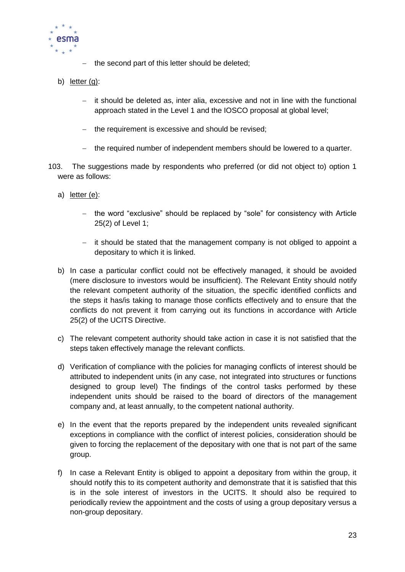

- $-$  the second part of this letter should be deleted;
- b) letter (g):
	- it should be deleted as, inter alia, excessive and not in line with the functional approach stated in the Level 1 and the IOSCO proposal at global level;
	- the requirement is excessive and should be revised;
	- the required number of independent members should be lowered to a quarter.
- 103. The suggestions made by respondents who preferred (or did not object to) option 1 were as follows:
	- a) letter (e):
		- the word "exclusive" should be replaced by "sole" for consistency with Article 25(2) of Level 1;
		- $-$  it should be stated that the management company is not obliged to appoint a depositary to which it is linked.
	- b) In case a particular conflict could not be effectively managed, it should be avoided (mere disclosure to investors would be insufficient). The Relevant Entity should notify the relevant competent authority of the situation, the specific identified conflicts and the steps it has/is taking to manage those conflicts effectively and to ensure that the conflicts do not prevent it from carrying out its functions in accordance with Article 25(2) of the UCITS Directive.
	- c) The relevant competent authority should take action in case it is not satisfied that the steps taken effectively manage the relevant conflicts.
	- d) Verification of compliance with the policies for managing conflicts of interest should be attributed to independent units (in any case, not integrated into structures or functions designed to group level) The findings of the control tasks performed by these independent units should be raised to the board of directors of the management company and, at least annually, to the competent national authority.
	- e) In the event that the reports prepared by the independent units revealed significant exceptions in compliance with the conflict of interest policies, consideration should be given to forcing the replacement of the depositary with one that is not part of the same group.
	- f) In case a Relevant Entity is obliged to appoint a depositary from within the group, it should notify this to its competent authority and demonstrate that it is satisfied that this is in the sole interest of investors in the UCITS. It should also be required to periodically review the appointment and the costs of using a group depositary versus a non-group depositary.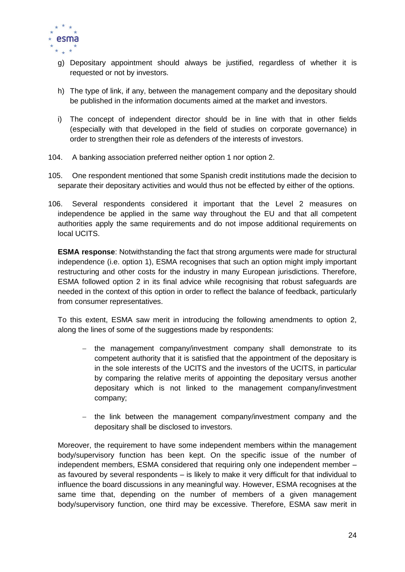

- g) Depositary appointment should always be justified, regardless of whether it is requested or not by investors.
- h) The type of link, if any, between the management company and the depositary should be published in the information documents aimed at the market and investors.
- i) The concept of independent director should be in line with that in other fields (especially with that developed in the field of studies on corporate governance) in order to strengthen their role as defenders of the interests of investors.
- 104. A banking association preferred neither option 1 nor option 2.
- 105. One respondent mentioned that some Spanish credit institutions made the decision to separate their depositary activities and would thus not be effected by either of the options.
- 106. Several respondents considered it important that the Level 2 measures on independence be applied in the same way throughout the EU and that all competent authorities apply the same requirements and do not impose additional requirements on local UCITS.

**ESMA response**: Notwithstanding the fact that strong arguments were made for structural independence (i.e. option 1), ESMA recognises that such an option might imply important restructuring and other costs for the industry in many European jurisdictions. Therefore, ESMA followed option 2 in its final advice while recognising that robust safeguards are needed in the context of this option in order to reflect the balance of feedback, particularly from consumer representatives.

To this extent, ESMA saw merit in introducing the following amendments to option 2, along the lines of some of the suggestions made by respondents:

- the management company/investment company shall demonstrate to its competent authority that it is satisfied that the appointment of the depositary is in the sole interests of the UCITS and the investors of the UCITS, in particular by comparing the relative merits of appointing the depositary versus another depositary which is not linked to the management company/investment company;
- the link between the management company/investment company and the depositary shall be disclosed to investors.

Moreover, the requirement to have some independent members within the management body/supervisory function has been kept. On the specific issue of the number of independent members, ESMA considered that requiring only one independent member – as favoured by several respondents – is likely to make it very difficult for that individual to influence the board discussions in any meaningful way. However, ESMA recognises at the same time that, depending on the number of members of a given management body/supervisory function, one third may be excessive. Therefore, ESMA saw merit in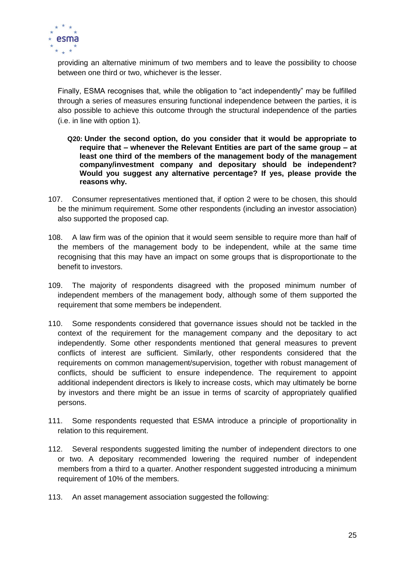

providing an alternative minimum of two members and to leave the possibility to choose between one third or two, whichever is the lesser.

Finally, ESMA recognises that, while the obligation to "act independently" may be fulfilled through a series of measures ensuring functional independence between the parties, it is also possible to achieve this outcome through the structural independence of the parties (i.e. in line with option 1).

- **Q20: Under the second option, do you consider that it would be appropriate to require that – whenever the Relevant Entities are part of the same group – at least one third of the members of the management body of the management company/investment company and depositary should be independent? Would you suggest any alternative percentage? If yes, please provide the reasons why.**
- 107. Consumer representatives mentioned that, if option 2 were to be chosen, this should be the minimum requirement. Some other respondents (including an investor association) also supported the proposed cap.
- 108. A law firm was of the opinion that it would seem sensible to require more than half of the members of the management body to be independent, while at the same time recognising that this may have an impact on some groups that is disproportionate to the benefit to investors.
- 109. The majority of respondents disagreed with the proposed minimum number of independent members of the management body, although some of them supported the requirement that some members be independent.
- 110. Some respondents considered that governance issues should not be tackled in the context of the requirement for the management company and the depositary to act independently. Some other respondents mentioned that general measures to prevent conflicts of interest are sufficient. Similarly, other respondents considered that the requirements on common management/supervision, together with robust management of conflicts, should be sufficient to ensure independence. The requirement to appoint additional independent directors is likely to increase costs, which may ultimately be borne by investors and there might be an issue in terms of scarcity of appropriately qualified persons.
- 111. Some respondents requested that ESMA introduce a principle of proportionality in relation to this requirement.
- 112. Several respondents suggested limiting the number of independent directors to one or two. A depositary recommended lowering the required number of independent members from a third to a quarter. Another respondent suggested introducing a minimum requirement of 10% of the members.
- 113. An asset management association suggested the following: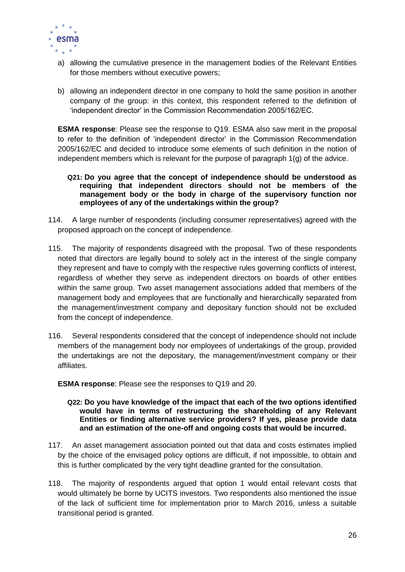

- a) allowing the cumulative presence in the management bodies of the Relevant Entities for those members without executive powers;
- b) allowing an independent director in one company to hold the same position in another company of the group: in this context, this respondent referred to the definition of 'independent director' in the Commission Recommendation 2005/162/EC.

**ESMA response**: Please see the response to Q19. ESMA also saw merit in the proposal to refer to the definition of 'independent director' in the Commission Recommendation 2005/162/EC and decided to introduce some elements of such definition in the notion of independent members which is relevant for the purpose of paragraph 1(g) of the advice.

- **Q21: Do you agree that the concept of independence should be understood as requiring that independent directors should not be members of the management body or the body in charge of the supervisory function nor employees of any of the undertakings within the group?**
- 114. A large number of respondents (including consumer representatives) agreed with the proposed approach on the concept of independence.
- 115. The majority of respondents disagreed with the proposal. Two of these respondents noted that directors are legally bound to solely act in the interest of the single company they represent and have to comply with the respective rules governing conflicts of interest, regardless of whether they serve as independent directors on boards of other entities within the same group. Two asset management associations added that members of the management body and employees that are functionally and hierarchically separated from the management/investment company and depositary function should not be excluded from the concept of independence.
- 116. Several respondents considered that the concept of independence should not include members of the management body nor employees of undertakings of the group, provided the undertakings are not the depositary, the management/investment company or their affiliates.

**ESMA response**: Please see the responses to Q19 and 20.

- **Q22: Do you have knowledge of the impact that each of the two options identified would have in terms of restructuring the shareholding of any Relevant Entities or finding alternative service providers? If yes, please provide data and an estimation of the one-off and ongoing costs that would be incurred.**
- 117. An asset management association pointed out that data and costs estimates implied by the choice of the envisaged policy options are difficult, if not impossible, to obtain and this is further complicated by the very tight deadline granted for the consultation.
- 118. The majority of respondents argued that option 1 would entail relevant costs that would ultimately be borne by UCITS investors. Two respondents also mentioned the issue of the lack of sufficient time for implementation prior to March 2016, unless a suitable transitional period is granted.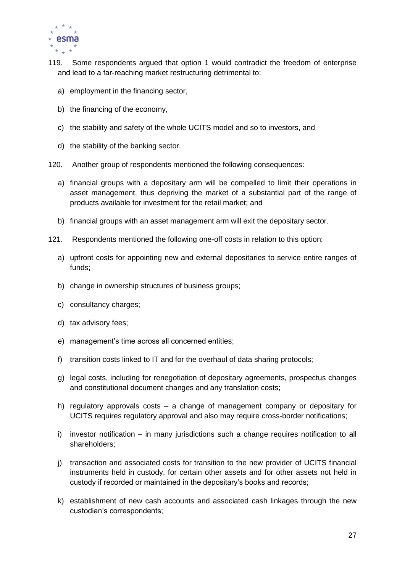

- 119. Some respondents argued that option 1 would contradict the freedom of enterprise and lead to a far-reaching market restructuring detrimental to:
	- a) employment in the financing sector,
	- b) the financing of the economy,
	- c) the stability and safety of the whole UCITS model and so to investors, and
	- d) the stability of the banking sector.
- 120. Another group of respondents mentioned the following consequences:
	- a) financial groups with a depositary arm will be compelled to limit their operations in asset management, thus depriving the market of a substantial part of the range of products available for investment for the retail market; and
	- b) financial groups with an asset management arm will exit the depositary sector.
- 121. Respondents mentioned the following one-off costs in relation to this option:
	- a) upfront costs for appointing new and external depositaries to service entire ranges of funds;
	- b) change in ownership structures of business groups;
	- c) consultancy charges;
	- d) tax advisory fees;
	- e) management's time across all concerned entities;
	- f) transition costs linked to IT and for the overhaul of data sharing protocols;
	- g) legal costs, including for renegotiation of depositary agreements, prospectus changes and constitutional document changes and any translation costs;
	- h) regulatory approvals costs a change of management company or depositary for UCITS requires regulatory approval and also may require cross-border notifications;
	- i) investor notification in many jurisdictions such a change requires notification to all shareholders;
	- j) transaction and associated costs for transition to the new provider of UCITS financial instruments held in custody, for certain other assets and for other assets not held in custody if recorded or maintained in the depositary's books and records;
	- k) establishment of new cash accounts and associated cash linkages through the new custodian's correspondents;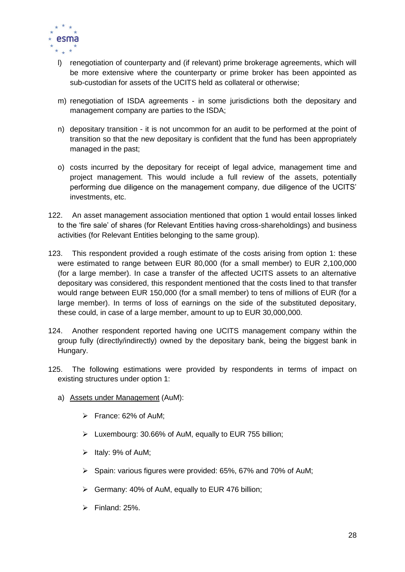

- l) renegotiation of counterparty and (if relevant) prime brokerage agreements, which will be more extensive where the counterparty or prime broker has been appointed as sub-custodian for assets of the UCITS held as collateral or otherwise;
- m) renegotiation of ISDA agreements in some jurisdictions both the depositary and management company are parties to the ISDA;
- n) depositary transition it is not uncommon for an audit to be performed at the point of transition so that the new depositary is confident that the fund has been appropriately managed in the past;
- o) costs incurred by the depositary for receipt of legal advice, management time and project management. This would include a full review of the assets, potentially performing due diligence on the management company, due diligence of the UCITS' investments, etc.
- 122. An asset management association mentioned that option 1 would entail losses linked to the 'fire sale' of shares (for Relevant Entities having cross-shareholdings) and business activities (for Relevant Entities belonging to the same group).
- 123. This respondent provided a rough estimate of the costs arising from option 1: these were estimated to range between EUR 80,000 (for a small member) to EUR 2,100,000 (for a large member). In case a transfer of the affected UCITS assets to an alternative depositary was considered, this respondent mentioned that the costs lined to that transfer would range between EUR 150,000 (for a small member) to tens of millions of EUR (for a large member). In terms of loss of earnings on the side of the substituted depositary, these could, in case of a large member, amount to up to EUR 30,000,000.
- 124. Another respondent reported having one UCITS management company within the group fully (directly/indirectly) owned by the depositary bank, being the biggest bank in Hungary.
- 125. The following estimations were provided by respondents in terms of impact on existing structures under option 1:
	- a) Assets under Management (AuM):
		- France: 62% of AuM;
		- Luxembourg: 30.66% of AuM, equally to EUR 755 billion;
		- $\triangleright$  Italy: 9% of AuM;
		- $\triangleright$  Spain: various figures were provided: 65%, 67% and 70% of AuM;
		- $\triangleright$  Germany: 40% of AuM, equally to EUR 476 billion;
		- $\triangleright$  Finland: 25%.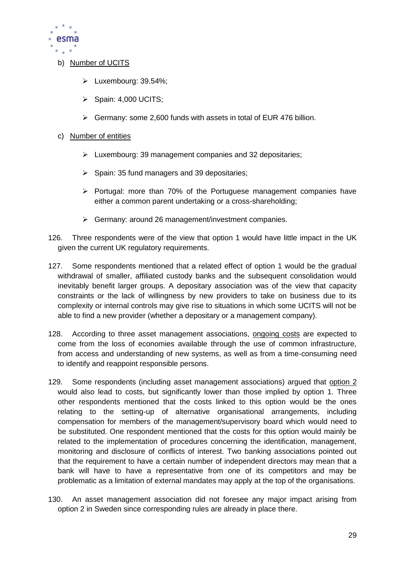

- b) Number of UCITS
	- Luxembourg: 39.54%:
	- $\triangleright$  Spain: 4,000 UCITS:
	- $\triangleright$  Germany: some 2,600 funds with assets in total of EUR 476 billion.
- c) Number of entities
	- $\triangleright$  Luxembourg: 39 management companies and 32 depositaries;
	- $\triangleright$  Spain: 35 fund managers and 39 depositaries;
	- $\triangleright$  Portugal: more than 70% of the Portuguese management companies have either a common parent undertaking or a cross-shareholding;
	- Germany: around 26 management/investment companies.
- 126. Three respondents were of the view that option 1 would have little impact in the UK given the current UK regulatory requirements.
- 127. Some respondents mentioned that a related effect of option 1 would be the gradual withdrawal of smaller, affiliated custody banks and the subsequent consolidation would inevitably benefit larger groups. A depositary association was of the view that capacity constraints or the lack of willingness by new providers to take on business due to its complexity or internal controls may give rise to situations in which some UCITS will not be able to find a new provider (whether a depositary or a management company).
- 128. According to three asset management associations, ongoing costs are expected to come from the loss of economies available through the use of common infrastructure, from access and understanding of new systems, as well as from a time-consuming need to identify and reappoint responsible persons.
- 129. Some respondents (including asset management associations) argued that option 2 would also lead to costs, but significantly lower than those implied by option 1. Three other respondents mentioned that the costs linked to this option would be the ones relating to the setting-up of alternative organisational arrangements, including compensation for members of the management/supervisory board which would need to be substituted. One respondent mentioned that the costs for this option would mainly be related to the implementation of procedures concerning the identification, management, monitoring and disclosure of conflicts of interest. Two banking associations pointed out that the requirement to have a certain number of independent directors may mean that a bank will have to have a representative from one of its competitors and may be problematic as a limitation of external mandates may apply at the top of the organisations.
- 130. An asset management association did not foresee any major impact arising from option 2 in Sweden since corresponding rules are already in place there.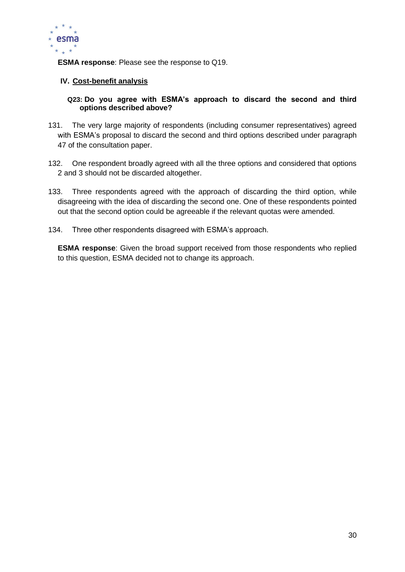

**ESMA response**: Please see the response to Q19.

### **IV. Cost-benefit analysis**

### **Q23: Do you agree with ESMA's approach to discard the second and third options described above?**

- 131. The very large majority of respondents (including consumer representatives) agreed with ESMA's proposal to discard the second and third options described under paragraph 47 of the consultation paper.
- 132. One respondent broadly agreed with all the three options and considered that options 2 and 3 should not be discarded altogether.
- 133. Three respondents agreed with the approach of discarding the third option, while disagreeing with the idea of discarding the second one. One of these respondents pointed out that the second option could be agreeable if the relevant quotas were amended.
- 134. Three other respondents disagreed with ESMA's approach.

**ESMA response**: Given the broad support received from those respondents who replied to this question, ESMA decided not to change its approach.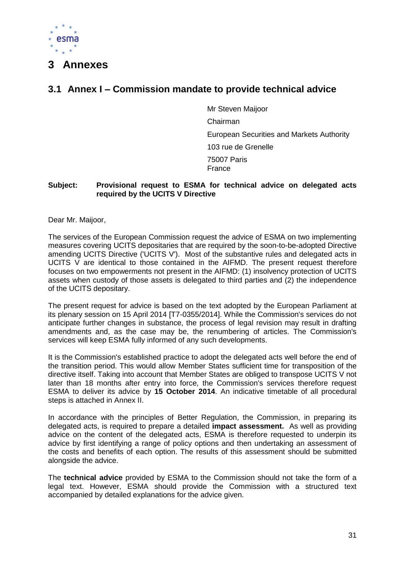

### <span id="page-31-0"></span>**3 Annexes**

### <span id="page-31-1"></span>**3.1 Annex I – Commission mandate to provide technical advice**

Mr Steven Maijoor Chairman European Securities and Markets Authority 103 rue de Grenelle 75007 Paris France

### **Subject: Provisional request to ESMA for technical advice on delegated acts required by the UCITS V Directive**

Dear Mr. Maijoor,

The services of the European Commission request the advice of ESMA on two implementing measures covering UCITS depositaries that are required by the soon-to-be-adopted Directive amending UCITS Directive ('UCITS V'). Most of the substantive rules and delegated acts in UCITS V are identical to those contained in the AIFMD. The present request therefore focuses on two empowerments not present in the AIFMD: (1) insolvency protection of UCITS assets when custody of those assets is delegated to third parties and (2) the independence of the UCITS depositary.

The present request for advice is based on the text adopted by the European Parliament at its plenary session on 15 April 2014 [T7-0355/2014]. While the Commission's services do not anticipate further changes in substance, the process of legal revision may result in drafting amendments and, as the case may be, the renumbering of articles. The Commission's services will keep ESMA fully informed of any such developments.

It is the Commission's established practice to adopt the delegated acts well before the end of the transition period. This would allow Member States sufficient time for transposition of the directive itself. Taking into account that Member States are obliged to transpose UCITS V not later than 18 months after entry into force, the Commission's services therefore request ESMA to deliver its advice by **15 October 2014**. An indicative timetable of all procedural steps is attached in Annex II.

In accordance with the principles of Better Regulation, the Commission, in preparing its delegated acts, is required to prepare a detailed **impact assessment.** As well as providing advice on the content of the delegated acts, ESMA is therefore requested to underpin its advice by first identifying a range of policy options and then undertaking an assessment of the costs and benefits of each option. The results of this assessment should be submitted alongside the advice.

The **technical advice** provided by ESMA to the Commission should not take the form of a legal text. However, ESMA should provide the Commission with a structured text accompanied by detailed explanations for the advice given.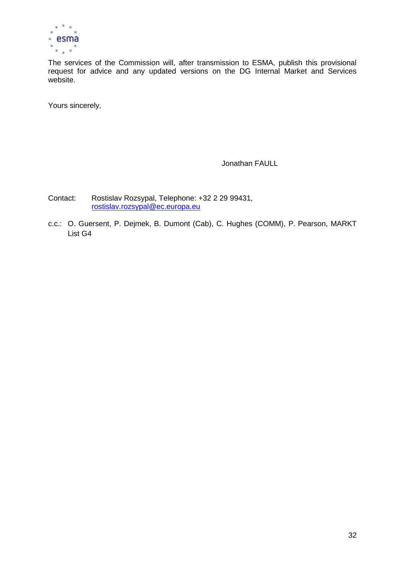

The services of the Commission will, after transmission to ESMA, publish this provisional request for advice and any updated versions on the DG Internal Market and Services website.

Yours sincerely,

Jonathan FAULL

Contact: Rostislav Rozsypal, Telephone: +32 2 29 99431, [rostislav.rozsypal@ec.europa.eu](mailto:rostislav.rozsypal@ec.europa.eu)

c.c.: O. Guersent, P. Dejmek, B. Dumont (Cab), C. Hughes (COMM), P. Pearson, MARKT List G4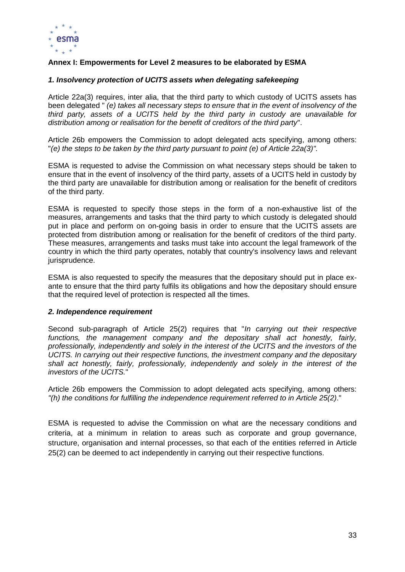

### **Annex I: Empowerments for Level 2 measures to be elaborated by ESMA**

### *1. Insolvency protection of UCITS assets when delegating safekeeping*

Article 22a(3) requires, inter alia, that the third party to which custody of UCITS assets has been delegated " *(e) takes all necessary steps to ensure that in the event of insolvency of the third party, assets of a UCITS held by the third party in custody are unavailable for distribution among or realisation for the benefit of creditors of the third party*".

Article 26b empowers the Commission to adopt delegated acts specifying, among others: "*(e) the steps to be taken by the third party pursuant to point (e) of Article 22a(3)".*

ESMA is requested to advise the Commission on what necessary steps should be taken to ensure that in the event of insolvency of the third party, assets of a UCITS held in custody by the third party are unavailable for distribution among or realisation for the benefit of creditors of the third party.

ESMA is requested to specify those steps in the form of a non-exhaustive list of the measures, arrangements and tasks that the third party to which custody is delegated should put in place and perform on on-going basis in order to ensure that the UCITS assets are protected from distribution among or realisation for the benefit of creditors of the third party. These measures, arrangements and tasks must take into account the legal framework of the country in which the third party operates, notably that country's insolvency laws and relevant jurisprudence.

ESMA is also requested to specify the measures that the depositary should put in place exante to ensure that the third party fulfils its obligations and how the depositary should ensure that the required level of protection is respected all the times.

#### *2. Independence requirement*

Second sub-paragraph of Article 25(2) requires that "*In carrying out their respective functions, the management company and the depositary shall act honestly, fairly, professionally, independently and solely in the interest of the UCITS and the investors of the UCITS. In carrying out their respective functions, the investment company and the depositary*  shall act honestly, fairly, professionally, independently and solely in the interest of the *investors of the UCITS.*"

Article 26b empowers the Commission to adopt delegated acts specifying, among others: *"(h) the conditions for fulfilling the independence requirement referred to in Article 25(2)*."

ESMA is requested to advise the Commission on what are the necessary conditions and criteria, at a minimum in relation to areas such as corporate and group governance, structure, organisation and internal processes, so that each of the entities referred in Article 25(2) can be deemed to act independently in carrying out their respective functions.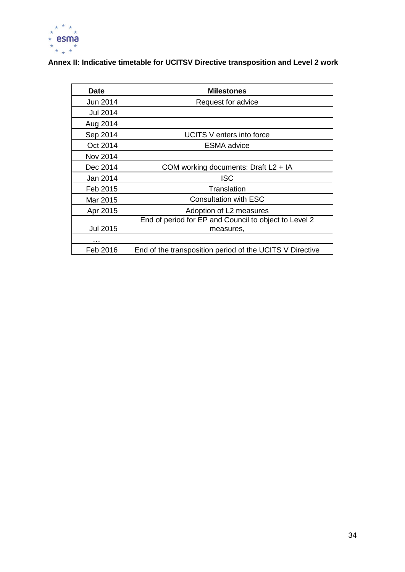

**Annex II: Indicative timetable for UCITSV Directive transposition and Level 2 work**

| Date            | <b>Milestones</b>                                        |
|-----------------|----------------------------------------------------------|
| Jun 2014        | Request for advice                                       |
| <b>Jul 2014</b> |                                                          |
| Aug 2014        |                                                          |
| Sep 2014        | UCITS V enters into force                                |
| Oct 2014        | <b>ESMA</b> advice                                       |
| Nov 2014        |                                                          |
| Dec 2014        | COM working documents: Draft L2 + IA                     |
| Jan 2014        | <b>ISC</b>                                               |
| Feb 2015        | Translation                                              |
| Mar 2015        | <b>Consultation with ESC</b>                             |
| Apr 2015        | Adoption of L2 measures                                  |
|                 | End of period for EP and Council to object to Level 2    |
| <b>Jul 2015</b> | measures,                                                |
| .               |                                                          |
| Feb 2016        | End of the transposition period of the UCITS V Directive |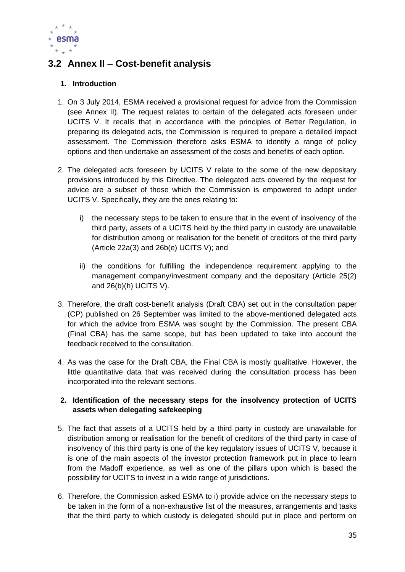

### <span id="page-35-0"></span>**3.2 Annex II – Cost-benefit analysis**

### **1. Introduction**

- 1. On 3 July 2014, ESMA received a provisional request for advice from the Commission (see Annex II). The request relates to certain of the delegated acts foreseen under UCITS V. It recalls that in accordance with the principles of Better Regulation, in preparing its delegated acts, the Commission is required to prepare a detailed impact assessment. The Commission therefore asks ESMA to identify a range of policy options and then undertake an assessment of the costs and benefits of each option.
- 2. The delegated acts foreseen by UCITS V relate to the some of the new depositary provisions introduced by this Directive. The delegated acts covered by the request for advice are a subset of those which the Commission is empowered to adopt under UCITS V. Specifically, they are the ones relating to:
	- i) the necessary steps to be taken to ensure that in the event of insolvency of the third party, assets of a UCITS held by the third party in custody are unavailable for distribution among or realisation for the benefit of creditors of the third party (Article 22a(3) and 26b(e) UCITS V); and
	- ii) the conditions for fulfilling the independence requirement applying to the management company/investment company and the depositary (Article 25(2) and  $26(b)(h)$  UCITS V).
- 3. Therefore, the draft cost-benefit analysis (Draft CBA) set out in the consultation paper (CP) published on 26 September was limited to the above-mentioned delegated acts for which the advice from ESMA was sought by the Commission. The present CBA (Final CBA) has the same scope, but has been updated to take into account the feedback received to the consultation.
- 4. As was the case for the Draft CBA, the Final CBA is mostly qualitative. However, the little quantitative data that was received during the consultation process has been incorporated into the relevant sections.

### **2. Identification of the necessary steps for the insolvency protection of UCITS assets when delegating safekeeping**

- 5. The fact that assets of a UCITS held by a third party in custody are unavailable for distribution among or realisation for the benefit of creditors of the third party in case of insolvency of this third party is one of the key regulatory issues of UCITS V, because it is one of the main aspects of the investor protection framework put in place to learn from the Madoff experience, as well as one of the pillars upon which is based the possibility for UCITS to invest in a wide range of jurisdictions.
- 6. Therefore, the Commission asked ESMA to i) provide advice on the necessary steps to be taken in the form of a non-exhaustive list of the measures, arrangements and tasks that the third party to which custody is delegated should put in place and perform on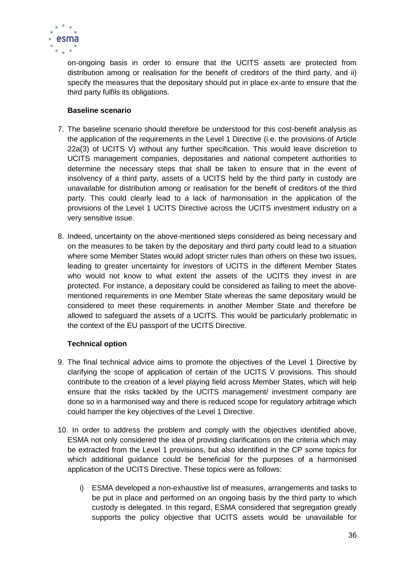

on-ongoing basis in order to ensure that the UCITS assets are protected from distribution among or realisation for the benefit of creditors of the third party, and ii) specify the measures that the depositary should put in place ex-ante to ensure that the third party fulfils its obligations.

### **Baseline scenario**

- 7. The baseline scenario should therefore be understood for this cost-benefit analysis as the application of the requirements in the Level 1 Directive (i.e. the provisions of Article 22a(3) of UCITS V) without any further specification. This would leave discretion to UCITS management companies, depositaries and national competent authorities to determine the necessary steps that shall be taken to ensure that in the event of insolvency of a third party, assets of a UCITS held by the third party in custody are unavailable for distribution among or realisation for the benefit of creditors of the third party. This could clearly lead to a lack of harmonisation in the application of the provisions of the Level 1 UCITS Directive across the UCITS investment industry on a very sensitive issue.
- 8. Indeed, uncertainty on the above-mentioned steps considered as being necessary and on the measures to be taken by the depositary and third party could lead to a situation where some Member States would adopt stricter rules than others on these two issues, leading to greater uncertainty for investors of UCITS in the different Member States who would not know to what extent the assets of the UCITS they invest in are protected. For instance, a depositary could be considered as failing to meet the abovementioned requirements in one Member State whereas the same depositary would be considered to meet these requirements in another Member State and therefore be allowed to safeguard the assets of a UCITS. This would be particularly problematic in the context of the EU passport of the UCITS Directive.

### **Technical option**

- 9. The final technical advice aims to promote the objectives of the Level 1 Directive by clarifying the scope of application of certain of the UCITS V provisions. This should contribute to the creation of a level playing field across Member States, which will help ensure that the risks tackled by the UCITS management/ investment company are done so in a harmonised way and there is reduced scope for regulatory arbitrage which could hamper the key objectives of the Level 1 Directive.
- 10. In order to address the problem and comply with the objectives identified above, ESMA not only considered the idea of providing clarifications on the criteria which may be extracted from the Level 1 provisions, but also identified in the CP some topics for which additional guidance could be beneficial for the purposes of a harmonised application of the UCITS Directive. These topics were as follows:
	- i) ESMA developed a non-exhaustive list of measures, arrangements and tasks to be put in place and performed on an ongoing basis by the third party to which custody is delegated. In this regard, ESMA considered that segregation greatly supports the policy objective that UCITS assets would be unavailable for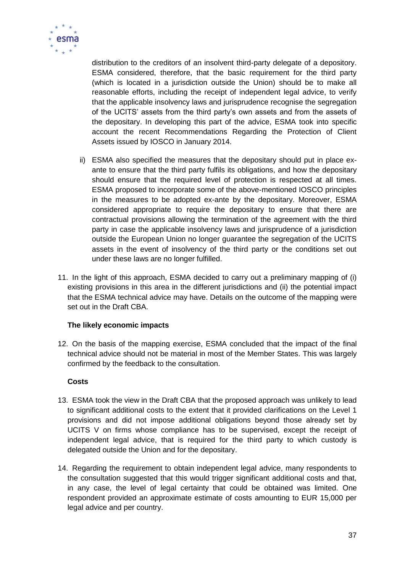

distribution to the creditors of an insolvent third-party delegate of a depository. ESMA considered, therefore, that the basic requirement for the third party (which is located in a jurisdiction outside the Union) should be to make all reasonable efforts, including the receipt of independent legal advice, to verify that the applicable insolvency laws and jurisprudence recognise the segregation of the UCITS' assets from the third party's own assets and from the assets of the depositary. In developing this part of the advice, ESMA took into specific account the recent Recommendations Regarding the Protection of Client Assets issued by IOSCO in January 2014.

- ii) ESMA also specified the measures that the depositary should put in place exante to ensure that the third party fulfils its obligations, and how the depositary should ensure that the required level of protection is respected at all times. ESMA proposed to incorporate some of the above-mentioned IOSCO principles in the measures to be adopted ex-ante by the depositary. Moreover, ESMA considered appropriate to require the depositary to ensure that there are contractual provisions allowing the termination of the agreement with the third party in case the applicable insolvency laws and jurisprudence of a jurisdiction outside the European Union no longer guarantee the segregation of the UCITS assets in the event of insolvency of the third party or the conditions set out under these laws are no longer fulfilled.
- 11. In the light of this approach, ESMA decided to carry out a preliminary mapping of (i) existing provisions in this area in the different jurisdictions and (ii) the potential impact that the ESMA technical advice may have. Details on the outcome of the mapping were set out in the Draft CBA.

### **The likely economic impacts**

12. On the basis of the mapping exercise, ESMA concluded that the impact of the final technical advice should not be material in most of the Member States. This was largely confirmed by the feedback to the consultation.

### **Costs**

- 13. ESMA took the view in the Draft CBA that the proposed approach was unlikely to lead to significant additional costs to the extent that it provided clarifications on the Level 1 provisions and did not impose additional obligations beyond those already set by UCITS V on firms whose compliance has to be supervised, except the receipt of independent legal advice, that is required for the third party to which custody is delegated outside the Union and for the depositary.
- 14. Regarding the requirement to obtain independent legal advice, many respondents to the consultation suggested that this would trigger significant additional costs and that, in any case, the level of legal certainty that could be obtained was limited. One respondent provided an approximate estimate of costs amounting to EUR 15,000 per legal advice and per country.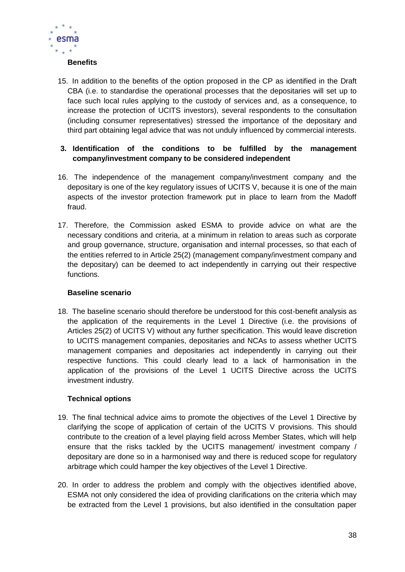

#### **Benefits**

15. In addition to the benefits of the option proposed in the CP as identified in the Draft CBA (i.e. to standardise the operational processes that the depositaries will set up to face such local rules applying to the custody of services and, as a consequence, to increase the protection of UCITS investors), several respondents to the consultation (including consumer representatives) stressed the importance of the depositary and third part obtaining legal advice that was not unduly influenced by commercial interests.

### **3. Identification of the conditions to be fulfilled by the management company/investment company to be considered independent**

- 16. The independence of the management company/investment company and the depositary is one of the key regulatory issues of UCITS V, because it is one of the main aspects of the investor protection framework put in place to learn from the Madoff fraud.
- 17. Therefore, the Commission asked ESMA to provide advice on what are the necessary conditions and criteria, at a minimum in relation to areas such as corporate and group governance, structure, organisation and internal processes, so that each of the entities referred to in Article 25(2) (management company/investment company and the depositary) can be deemed to act independently in carrying out their respective functions.

### **Baseline scenario**

18. The baseline scenario should therefore be understood for this cost-benefit analysis as the application of the requirements in the Level 1 Directive (i.e. the provisions of Articles 25(2) of UCITS V) without any further specification. This would leave discretion to UCITS management companies, depositaries and NCAs to assess whether UCITS management companies and depositaries act independently in carrying out their respective functions. This could clearly lead to a lack of harmonisation in the application of the provisions of the Level 1 UCITS Directive across the UCITS investment industry.

### **Technical options**

- 19. The final technical advice aims to promote the objectives of the Level 1 Directive by clarifying the scope of application of certain of the UCITS V provisions. This should contribute to the creation of a level playing field across Member States, which will help ensure that the risks tackled by the UCITS management/ investment company / depositary are done so in a harmonised way and there is reduced scope for regulatory arbitrage which could hamper the key objectives of the Level 1 Directive.
- 20. In order to address the problem and comply with the objectives identified above, ESMA not only considered the idea of providing clarifications on the criteria which may be extracted from the Level 1 provisions, but also identified in the consultation paper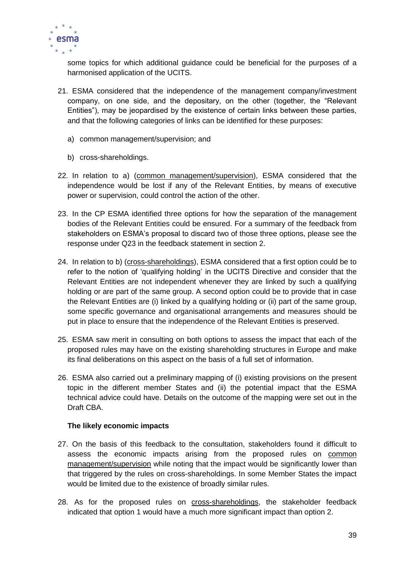

some topics for which additional guidance could be beneficial for the purposes of a harmonised application of the UCITS.

- 21. ESMA considered that the independence of the management company/investment company, on one side, and the depositary, on the other (together, the "Relevant Entities"), may be jeopardised by the existence of certain links between these parties, and that the following categories of links can be identified for these purposes:
	- a) common management/supervision; and
	- b) cross-shareholdings.
- 22. In relation to a) (common management/supervision), ESMA considered that the independence would be lost if any of the Relevant Entities, by means of executive power or supervision, could control the action of the other.
- 23. In the CP ESMA identified three options for how the separation of the management bodies of the Relevant Entities could be ensured. For a summary of the feedback from stakeholders on ESMA's proposal to discard two of those three options, please see the response under Q23 in the feedback statement in section 2.
- 24. In relation to b) (cross-shareholdings), ESMA considered that a first option could be to refer to the notion of 'qualifying holding' in the UCITS Directive and consider that the Relevant Entities are not independent whenever they are linked by such a qualifying holding or are part of the same group. A second option could be to provide that in case the Relevant Entities are (i) linked by a qualifying holding or (ii) part of the same group, some specific governance and organisational arrangements and measures should be put in place to ensure that the independence of the Relevant Entities is preserved.
- 25. ESMA saw merit in consulting on both options to assess the impact that each of the proposed rules may have on the existing shareholding structures in Europe and make its final deliberations on this aspect on the basis of a full set of information.
- 26. ESMA also carried out a preliminary mapping of (i) existing provisions on the present topic in the different member States and (ii) the potential impact that the ESMA technical advice could have. Details on the outcome of the mapping were set out in the Draft CBA.

### **The likely economic impacts**

- 27. On the basis of this feedback to the consultation, stakeholders found it difficult to assess the economic impacts arising from the proposed rules on common management/supervision while noting that the impact would be significantly lower than that triggered by the rules on cross-shareholdings. In some Member States the impact would be limited due to the existence of broadly similar rules.
- 28. As for the proposed rules on cross-shareholdings, the stakeholder feedback indicated that option 1 would have a much more significant impact than option 2.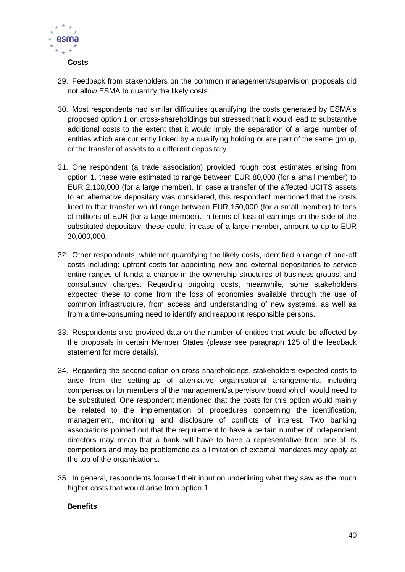

- 29. Feedback from stakeholders on the common management/supervision proposals did not allow ESMA to quantify the likely costs.
- 30. Most respondents had similar difficulties quantifying the costs generated by ESMA's proposed option 1 on cross-shareholdings but stressed that it would lead to substantive additional costs to the extent that it would imply the separation of a large number of entities which are currently linked by a qualifying holding or are part of the same group, or the transfer of assets to a different depositary.
- 31. One respondent (a trade association) provided rough cost estimates arising from option 1. these were estimated to range between EUR 80,000 (for a small member) to EUR 2,100,000 (for a large member). In case a transfer of the affected UCITS assets to an alternative depositary was considered, this respondent mentioned that the costs lined to that transfer would range between EUR 150,000 (for a small member) to tens of millions of EUR (for a large member). In terms of loss of earnings on the side of the substituted depositary, these could, in case of a large member, amount to up to EUR 30,000,000.
- 32. Other respondents, while not quantifying the likely costs, identified a range of one-off costs including: upfront costs for appointing new and external depositaries to service entire ranges of funds; a change in the ownership structures of business groups; and consultancy charges. Regarding ongoing costs, meanwhile, some stakeholders expected these to come from the loss of economies available through the use of common infrastructure, from access and understanding of new systems, as well as from a time-consuming need to identify and reappoint responsible persons.
- 33. Respondents also provided data on the number of entities that would be affected by the proposals in certain Member States (please see paragraph 125 of the feedback statement for more details).
- 34. Regarding the second option on cross-shareholdings, stakeholders expected costs to arise from the setting-up of alternative organisational arrangements, including compensation for members of the management/supervisory board which would need to be substituted. One respondent mentioned that the costs for this option would mainly be related to the implementation of procedures concerning the identification, management, monitoring and disclosure of conflicts of interest. Two banking associations pointed out that the requirement to have a certain number of independent directors may mean that a bank will have to have a representative from one of its competitors and may be problematic as a limitation of external mandates may apply at the top of the organisations.
- 35. In general, respondents focused their input on underlining what they saw as the much higher costs that would arise from option 1.

### **Benefits**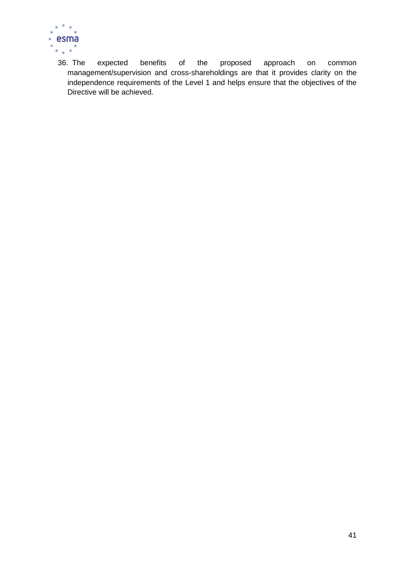

36. The expected benefits of the proposed approach on common management/supervision and cross-shareholdings are that it provides clarity on the independence requirements of the Level 1 and helps ensure that the objectives of the Directive will be achieved.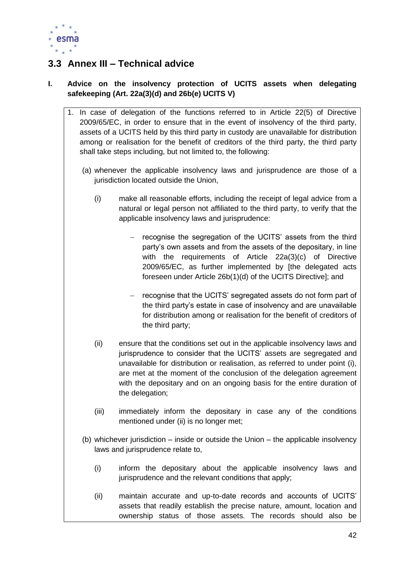

### <span id="page-42-0"></span>**3.3 Annex III – Technical advice**

### **I. Advice on the insolvency protection of UCITS assets when delegating safekeeping (Art. 22a(3)(d) and 26b(e) UCITS V)**

- 1. In case of delegation of the functions referred to in Article 22(5) of Directive 2009/65/EC, in order to ensure that in the event of insolvency of the third party, assets of a UCITS held by this third party in custody are unavailable for distribution among or realisation for the benefit of creditors of the third party, the third party shall take steps including, but not limited to, the following:
	- (a) whenever the applicable insolvency laws and jurisprudence are those of a jurisdiction located outside the Union,
		- (i) make all reasonable efforts, including the receipt of legal advice from a natural or legal person not affiliated to the third party, to verify that the applicable insolvency laws and jurisprudence:
			- $-$  recognise the segregation of the UCITS' assets from the third party's own assets and from the assets of the depositary, in line with the requirements of Article 22a(3)(c) of Directive 2009/65/EC, as further implemented by [the delegated acts foreseen under Article 26b(1)(d) of the UCITS Directive]; and
			- recognise that the UCITS' segregated assets do not form part of the third party's estate in case of insolvency and are unavailable for distribution among or realisation for the benefit of creditors of the third party;
		- (ii) ensure that the conditions set out in the applicable insolvency laws and jurisprudence to consider that the UCITS' assets are segregated and unavailable for distribution or realisation, as referred to under point (i), are met at the moment of the conclusion of the delegation agreement with the depositary and on an ongoing basis for the entire duration of the delegation;
		- (iii) immediately inform the depositary in case any of the conditions mentioned under (ii) is no longer met:
	- (b) whichever jurisdiction inside or outside the Union the applicable insolvency laws and jurisprudence relate to,
		- (i) inform the depositary about the applicable insolvency laws and jurisprudence and the relevant conditions that apply;
		- (ii) maintain accurate and up-to-date records and accounts of UCITS' assets that readily establish the precise nature, amount, location and ownership status of those assets. The records should also be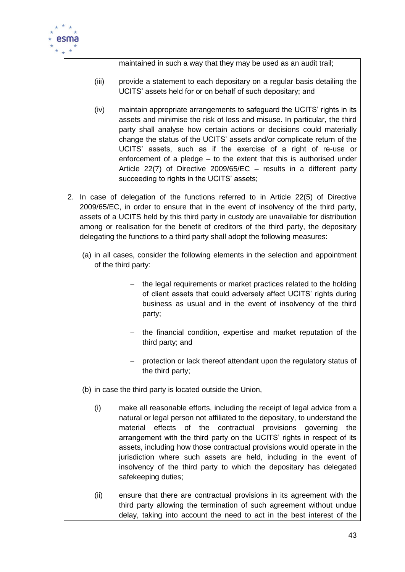

maintained in such a way that they may be used as an audit trail;

- (iii) provide a statement to each depositary on a regular basis detailing the UCITS' assets held for or on behalf of such depositary; and
- (iv) maintain appropriate arrangements to safeguard the UCITS' rights in its assets and minimise the risk of loss and misuse. In particular, the third party shall analyse how certain actions or decisions could materially change the status of the UCITS' assets and/or complicate return of the UCITS' assets, such as if the exercise of a right of re-use or enforcement of a pledge – to the extent that this is authorised under Article 22(7) of Directive 2009/65/EC – results in a different party succeeding to rights in the UCITS' assets;
- 2. In case of delegation of the functions referred to in Article 22(5) of Directive 2009/65/EC, in order to ensure that in the event of insolvency of the third party, assets of a UCITS held by this third party in custody are unavailable for distribution among or realisation for the benefit of creditors of the third party, the depositary delegating the functions to a third party shall adopt the following measures:
	- (a) in all cases, consider the following elements in the selection and appointment of the third party:
		- $-$  the legal requirements or market practices related to the holding of client assets that could adversely affect UCITS' rights during business as usual and in the event of insolvency of the third party;
		- the financial condition, expertise and market reputation of the third party; and
		- protection or lack thereof attendant upon the regulatory status of the third party;
	- (b) in case the third party is located outside the Union,
		- (i) make all reasonable efforts, including the receipt of legal advice from a natural or legal person not affiliated to the depositary, to understand the material effects of the contractual provisions governing the arrangement with the third party on the UCITS' rights in respect of its assets, including how those contractual provisions would operate in the jurisdiction where such assets are held, including in the event of insolvency of the third party to which the depositary has delegated safekeeping duties;
		- (ii) ensure that there are contractual provisions in its agreement with the third party allowing the termination of such agreement without undue delay, taking into account the need to act in the best interest of the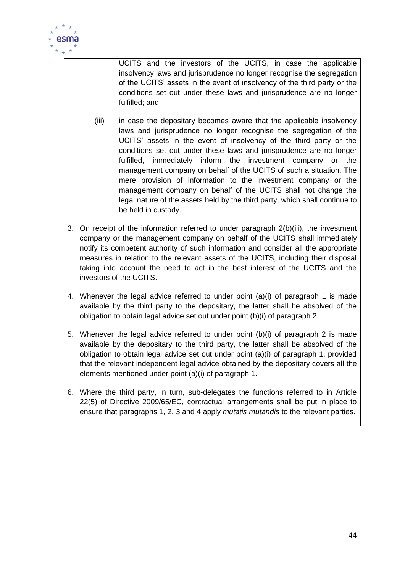

UCITS and the investors of the UCITS, in case the applicable insolvency laws and jurisprudence no longer recognise the segregation of the UCITS' assets in the event of insolvency of the third party or the conditions set out under these laws and jurisprudence are no longer fulfilled; and

- (iii) in case the depositary becomes aware that the applicable insolvency laws and jurisprudence no longer recognise the segregation of the UCITS' assets in the event of insolvency of the third party or the conditions set out under these laws and jurisprudence are no longer fulfilled, immediately inform the investment company or the management company on behalf of the UCITS of such a situation. The mere provision of information to the investment company or the management company on behalf of the UCITS shall not change the legal nature of the assets held by the third party, which shall continue to be held in custody.
- 3. On receipt of the information referred to under paragraph 2(b)(iii), the investment company or the management company on behalf of the UCITS shall immediately notify its competent authority of such information and consider all the appropriate measures in relation to the relevant assets of the UCITS, including their disposal taking into account the need to act in the best interest of the UCITS and the investors of the UCITS.
- 4. Whenever the legal advice referred to under point (a)(i) of paragraph 1 is made available by the third party to the depositary, the latter shall be absolved of the obligation to obtain legal advice set out under point (b)(i) of paragraph 2.
- 5. Whenever the legal advice referred to under point (b)(i) of paragraph 2 is made available by the depositary to the third party, the latter shall be absolved of the obligation to obtain legal advice set out under point (a)(i) of paragraph 1, provided that the relevant independent legal advice obtained by the depositary covers all the elements mentioned under point (a)(i) of paragraph 1.
- 6. Where the third party, in turn, sub-delegates the functions referred to in Article 22(5) of Directive 2009/65/EC, contractual arrangements shall be put in place to ensure that paragraphs 1, 2, 3 and 4 apply *mutatis mutandis* to the relevant parties.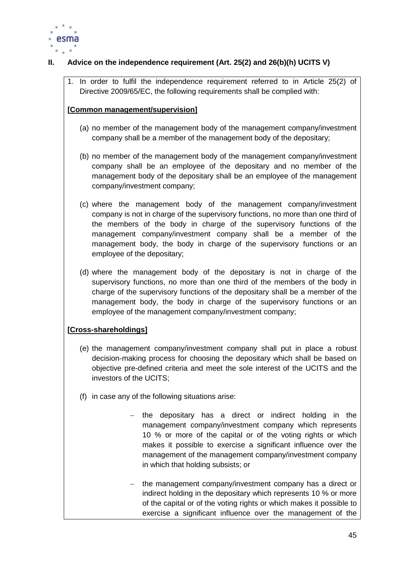

### **II. Advice on the independence requirement (Art. 25(2) and 26(b)(h) UCITS V)**

1. In order to fulfil the independence requirement referred to in Article 25(2) of Directive 2009/65/EC, the following requirements shall be complied with:

### **[Common management/supervision]**

- (a) no member of the management body of the management company/investment company shall be a member of the management body of the depositary;
- (b) no member of the management body of the management company/investment company shall be an employee of the depositary and no member of the management body of the depositary shall be an employee of the management company/investment company;
- (c) where the management body of the management company/investment company is not in charge of the supervisory functions, no more than one third of the members of the body in charge of the supervisory functions of the management company/investment company shall be a member of the management body, the body in charge of the supervisory functions or an employee of the depositary;
- (d) where the management body of the depositary is not in charge of the supervisory functions, no more than one third of the members of the body in charge of the supervisory functions of the depositary shall be a member of the management body, the body in charge of the supervisory functions or an employee of the management company/investment company;

### **[Cross-shareholdings]**

- (e) the management company/investment company shall put in place a robust decision-making process for choosing the depositary which shall be based on objective pre-defined criteria and meet the sole interest of the UCITS and the investors of the UCITS;
- (f) in case any of the following situations arise:
	- the depositary has a direct or indirect holding in the management company/investment company which represents 10 % or more of the capital or of the voting rights or which makes it possible to exercise a significant influence over the management of the management company/investment company in which that holding subsists; or
	- the management company/investment company has a direct or indirect holding in the depositary which represents 10 % or more of the capital or of the voting rights or which makes it possible to exercise a significant influence over the management of the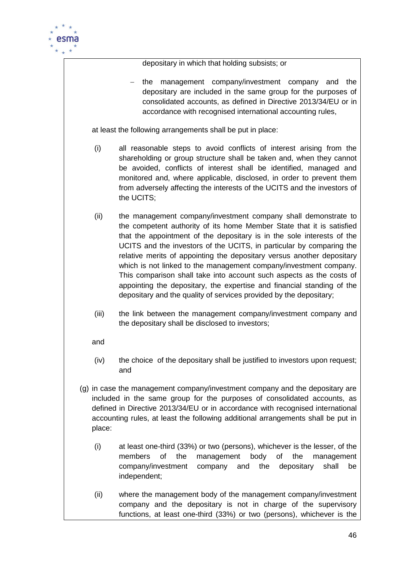

depositary in which that holding subsists; or

 the management company/investment company and the depositary are included in the same group for the purposes of consolidated accounts, as defined in Directive 2013/34/EU or in accordance with recognised international accounting rules,

at least the following arrangements shall be put in place:

- (i) all reasonable steps to avoid conflicts of interest arising from the shareholding or group structure shall be taken and, when they cannot be avoided, conflicts of interest shall be identified, managed and monitored and, where applicable, disclosed, in order to prevent them from adversely affecting the interests of the UCITS and the investors of the UCITS;
- (ii) the management company/investment company shall demonstrate to the competent authority of its home Member State that it is satisfied that the appointment of the depositary is in the sole interests of the UCITS and the investors of the UCITS, in particular by comparing the relative merits of appointing the depositary versus another depositary which is not linked to the management company/investment company. This comparison shall take into account such aspects as the costs of appointing the depositary, the expertise and financial standing of the depositary and the quality of services provided by the depositary;
- (iii) the link between the management company/investment company and the depositary shall be disclosed to investors;

and

- (iv) the choice of the depositary shall be justified to investors upon request; and
- (g) in case the management company/investment company and the depositary are included in the same group for the purposes of consolidated accounts, as defined in Directive 2013/34/EU or in accordance with recognised international accounting rules, at least the following additional arrangements shall be put in place:
	- (i) at least one-third (33%) or two (persons), whichever is the lesser, of the members of the management body of the management company/investment company and the depositary shall be independent;
	- (ii) where the management body of the management company/investment company and the depositary is not in charge of the supervisory functions, at least one-third (33%) or two (persons), whichever is the